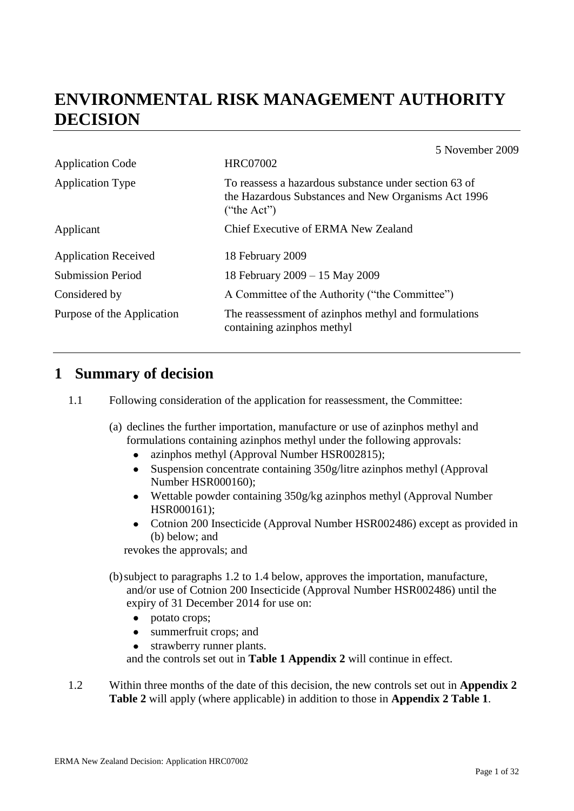# **ENVIRONMENTAL RISK MANAGEMENT AUTHORITY DECISION**

Application Code HRC07002 Application Type To reassess a hazardous substance under section 63 of the Hazardous Substances and New Organisms Act 1996  $("the Act")$ Applicant Chief Executive of ERMA New Zealand Application Received 18 February 2009 Submission Period 18 February 2009 – 15 May 2009 Considered by  $\overline{A}$  Committee of the Authority ("the Committee") Purpose of the Application The reassessment of azinphos methyl and formulations containing azinphos methyl

### **1 Summary of decision**

- 1.1 Following consideration of the application for reassessment, the Committee:
	- (a) declines the further importation, manufacture or use of azinphos methyl and formulations containing azinphos methyl under the following approvals:
		- azinphos methyl (Approval Number HSR002815);  $\bullet$
		- $\bullet$ Suspension concentrate containing 350g/litre azinphos methyl (Approval Number HSR000160);
		- Wettable powder containing 350g/kg azinphos methyl (Approval Number HSR000161);
		- Cotnion 200 Insecticide (Approval Number HSR002486) except as provided in (b) below; and

revokes the approvals; and

(b)subject to paragraphs 1.2 to 1.4 below, approves the importation, manufacture, and/or use of Cotnion 200 Insecticide (Approval Number HSR002486) until the expiry of 31 December 2014 for use on:

- potato crops;  $\bullet$
- $\bullet$ summerfruit crops; and
- strawberry runner plants.

and the controls set out in **Table 1 Appendix 2** will continue in effect.

1.2 Within three months of the date of this decision, the new controls set out in **Appendix 2 Table 2** will apply (where applicable) in addition to those in **Appendix 2 Table 1**.

5 November 2009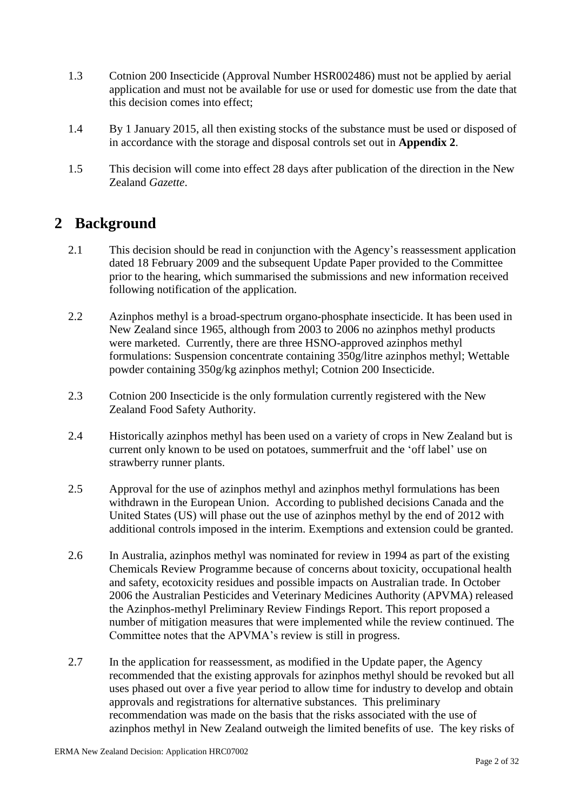- 1.3 Cotnion 200 Insecticide (Approval Number HSR002486) must not be applied by aerial application and must not be available for use or used for domestic use from the date that this decision comes into effect;
- 1.4 By 1 January 2015, all then existing stocks of the substance must be used or disposed of in accordance with the storage and disposal controls set out in **Appendix 2**.
- 1.5 This decision will come into effect 28 days after publication of the direction in the New Zealand *Gazette*.

### **2 Background**

- 2.1 This decision should be read in conjunction with the Agency's reassessment application dated 18 February 2009 and the subsequent Update Paper provided to the Committee prior to the hearing, which summarised the submissions and new information received following notification of the application.
- 2.2 Azinphos methyl is a broad-spectrum organo-phosphate insecticide. It has been used in New Zealand since 1965, although from 2003 to 2006 no azinphos methyl products were marketed. Currently, there are three HSNO-approved azinphos methyl formulations: Suspension concentrate containing 350g/litre azinphos methyl; Wettable powder containing 350g/kg azinphos methyl; Cotnion 200 Insecticide.
- 2.3 Cotnion 200 Insecticide is the only formulation currently registered with the New Zealand Food Safety Authority.
- 2.4 Historically azinphos methyl has been used on a variety of crops in New Zealand but is current only known to be used on potatoes, summerfruit and the 'off label' use on strawberry runner plants.
- 2.5 Approval for the use of azinphos methyl and azinphos methyl formulations has been withdrawn in the European Union. According to published decisions Canada and the United States (US) will phase out the use of azinphos methyl by the end of 2012 with additional controls imposed in the interim. Exemptions and extension could be granted.
- 2.6 In Australia, azinphos methyl was nominated for review in 1994 as part of the existing Chemicals Review Programme because of concerns about toxicity, occupational health and safety, ecotoxicity residues and possible impacts on Australian trade. In October 2006 the Australian Pesticides and Veterinary Medicines Authority (APVMA) released the Azinphos-methyl Preliminary Review Findings Report. This report proposed a number of mitigation measures that were implemented while the review continued. The Committee notes that the APVMA's review is still in progress.
- 2.7 In the application for reassessment, as modified in the Update paper, the Agency recommended that the existing approvals for azinphos methyl should be revoked but all uses phased out over a five year period to allow time for industry to develop and obtain approvals and registrations for alternative substances. This preliminary recommendation was made on the basis that the risks associated with the use of azinphos methyl in New Zealand outweigh the limited benefits of use. The key risks of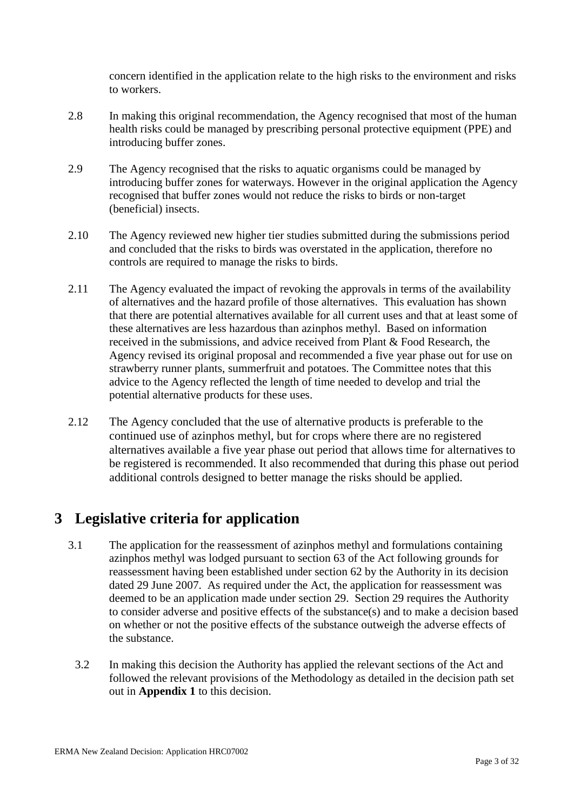concern identified in the application relate to the high risks to the environment and risks to workers.

- 2.8 In making this original recommendation, the Agency recognised that most of the human health risks could be managed by prescribing personal protective equipment (PPE) and introducing buffer zones.
- 2.9 The Agency recognised that the risks to aquatic organisms could be managed by introducing buffer zones for waterways. However in the original application the Agency recognised that buffer zones would not reduce the risks to birds or non-target (beneficial) insects.
- 2.10 The Agency reviewed new higher tier studies submitted during the submissions period and concluded that the risks to birds was overstated in the application, therefore no controls are required to manage the risks to birds.
- 2.11 The Agency evaluated the impact of revoking the approvals in terms of the availability of alternatives and the hazard profile of those alternatives. This evaluation has shown that there are potential alternatives available for all current uses and that at least some of these alternatives are less hazardous than azinphos methyl. Based on information received in the submissions, and advice received from Plant & Food Research, the Agency revised its original proposal and recommended a five year phase out for use on strawberry runner plants, summerfruit and potatoes. The Committee notes that this advice to the Agency reflected the length of time needed to develop and trial the potential alternative products for these uses.
- 2.12 The Agency concluded that the use of alternative products is preferable to the continued use of azinphos methyl, but for crops where there are no registered alternatives available a five year phase out period that allows time for alternatives to be registered is recommended. It also recommended that during this phase out period additional controls designed to better manage the risks should be applied.

## **3 Legislative criteria for application**

- 3.1 The application for the reassessment of azinphos methyl and formulations containing azinphos methyl was lodged pursuant to section 63 of the Act following grounds for reassessment having been established under section 62 by the Authority in its decision dated 29 June 2007. As required under the Act, the application for reassessment was deemed to be an application made under section 29. Section 29 requires the Authority to consider adverse and positive effects of the substance(s) and to make a decision based on whether or not the positive effects of the substance outweigh the adverse effects of the substance.
	- 3.2 In making this decision the Authority has applied the relevant sections of the Act and followed the relevant provisions of the Methodology as detailed in the decision path set out in **Appendix 1** to this decision.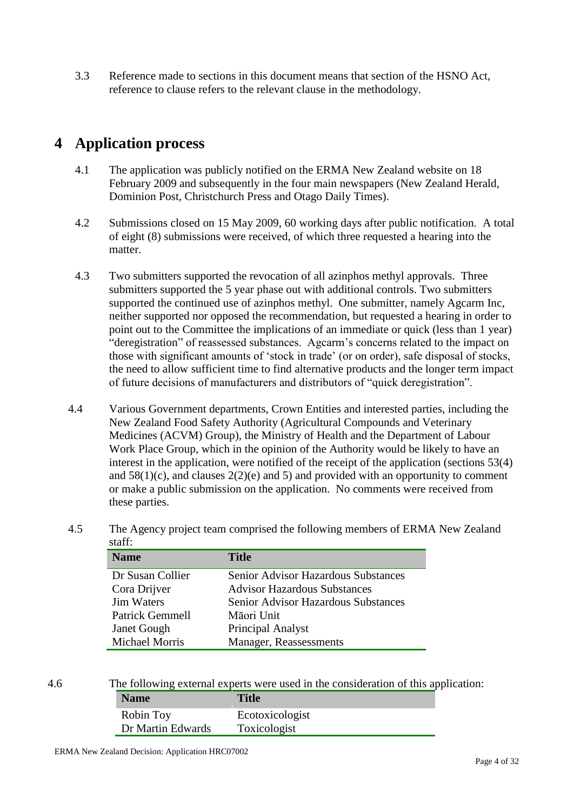3.3 Reference made to sections in this document means that section of the HSNO Act, reference to clause refers to the relevant clause in the methodology.

## **4 Application process**

- 4.1 The application was publicly notified on the ERMA New Zealand website on 18 February 2009 and subsequently in the four main newspapers (New Zealand Herald, Dominion Post, Christchurch Press and Otago Daily Times).
- 4.2 Submissions closed on 15 May 2009, 60 working days after public notification. A total of eight (8) submissions were received, of which three requested a hearing into the matter.
- 4.3 Two submitters supported the revocation of all azinphos methyl approvals. Three submitters supported the 5 year phase out with additional controls. Two submitters supported the continued use of azinphos methyl. One submitter, namely Agcarm Inc, neither supported nor opposed the recommendation, but requested a hearing in order to point out to the Committee the implications of an immediate or quick (less than 1 year) "deregistration" of reassessed substances. Agcarm's concerns related to the impact on those with significant amounts of 'stock in trade' (or on order), safe disposal of stocks, the need to allow sufficient time to find alternative products and the longer term impact of future decisions of manufacturers and distributors of "quick deregistration".
- 4.4 Various Government departments, Crown Entities and interested parties, including the New Zealand Food Safety Authority (Agricultural Compounds and Veterinary Medicines (ACVM) Group), the Ministry of Health and the Department of Labour Work Place Group, which in the opinion of the Authority would be likely to have an interest in the application, were notified of the receipt of the application (sections 53(4) and  $58(1)(c)$ , and clauses  $2(2)(e)$  and  $5)$  and provided with an opportunity to comment or make a public submission on the application. No comments were received from these parties.
- 4.5 The Agency project team comprised the following members of ERMA New Zealand staff:

| <b>Name</b>            | Title                                      |
|------------------------|--------------------------------------------|
| Dr Susan Collier       | <b>Senior Advisor Hazardous Substances</b> |
| Cora Drijver           | <b>Advisor Hazardous Substances</b>        |
| <b>Jim Waters</b>      | <b>Senior Advisor Hazardous Substances</b> |
| <b>Patrick Gemmell</b> | Māori Unit                                 |
| <b>Janet Gough</b>     | Principal Analyst                          |
| <b>Michael Morris</b>  | Manager, Reassessments                     |

| 4.6 |  | The following external experts were used in the consideration of this application: |
|-----|--|------------------------------------------------------------------------------------|
|     |  |                                                                                    |

| <b>Name</b>       | <b>Title</b>    |
|-------------------|-----------------|
| Robin Toy         | Ecotoxicologist |
| Dr Martin Edwards | Toxicologist    |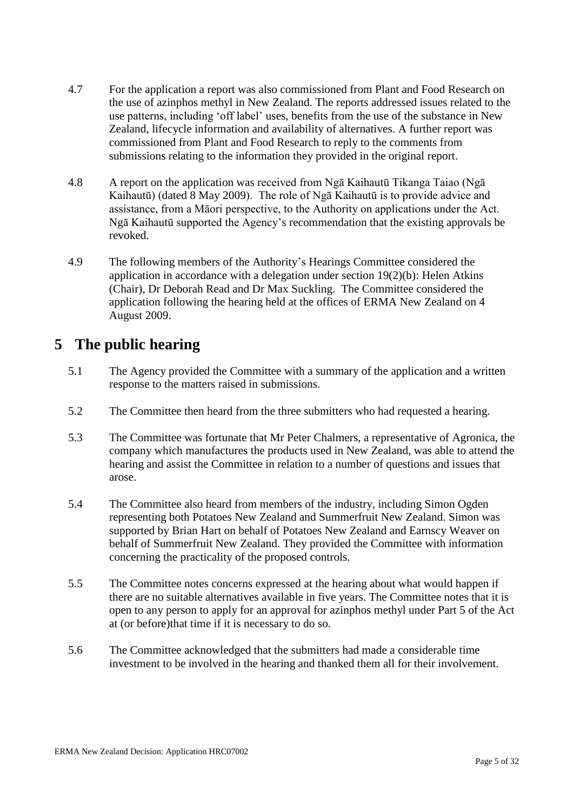- 4.7 For the application a report was also commissioned from Plant and Food Research on the use of azinphos methyl in New Zealand. The reports addressed issues related to the use patterns, including ‗off label' uses, benefits from the use of the substance in New Zealand, lifecycle information and availability of alternatives. A further report was commissioned from Plant and Food Research to reply to the comments from submissions relating to the information they provided in the original report.
- 4.8 A report on the application was received from Ngā Kaihautū Tikanga Taiao (Ngā Kaihautū) (dated 8 May 2009). The role of Ngā Kaihautū is to provide advice and assistance, from a Māori perspective, to the Authority on applications under the Act. Ngā Kaihautū supported the Agency's recommendation that the existing approvals be revoked.
- 4.9 The following members of the Authority's Hearings Committee considered the application in accordance with a delegation under section  $19(2)(b)$ : Helen Atkins (Chair), Dr Deborah Read and Dr Max Suckling. The Committee considered the application following the hearing held at the offices of ERMA New Zealand on 4 August 2009.

### **5 The public hearing**

- 5.1 The Agency provided the Committee with a summary of the application and a written response to the matters raised in submissions.
- 5.2 The Committee then heard from the three submitters who had requested a hearing.
- 5.3 The Committee was fortunate that Mr Peter Chalmers, a representative of Agronica, the company which manufactures the products used in New Zealand, was able to attend the hearing and assist the Committee in relation to a number of questions and issues that arose.
- 5.4 The Committee also heard from members of the industry, including Simon Ogden representing both Potatoes New Zealand and Summerfruit New Zealand. Simon was supported by Brian Hart on behalf of Potatoes New Zealand and Earnscy Weaver on behalf of Summerfruit New Zealand. They provided the Committee with information concerning the practicality of the proposed controls.
- 5.5 The Committee notes concerns expressed at the hearing about what would happen if there are no suitable alternatives available in five years. The Committee notes that it is open to any person to apply for an approval for azinphos methyl under Part 5 of the Act at (or before)that time if it is necessary to do so.
- 5.6 The Committee acknowledged that the submitters had made a considerable time investment to be involved in the hearing and thanked them all for their involvement.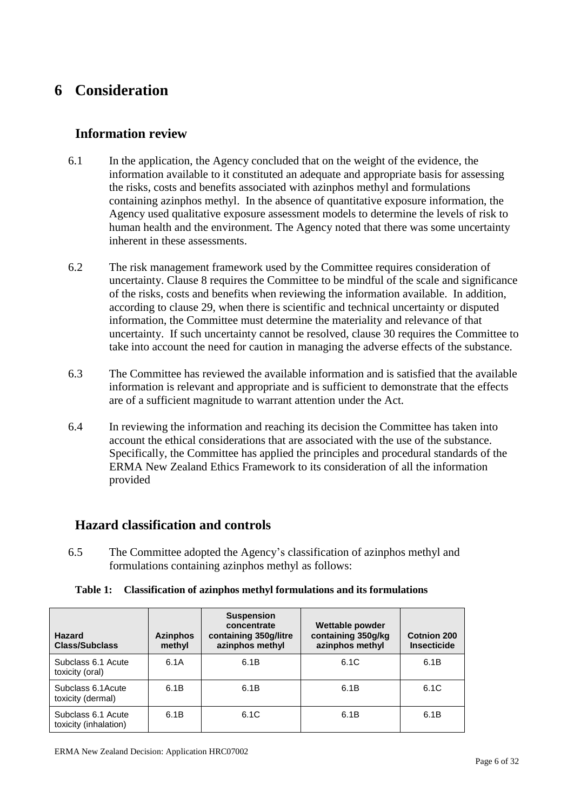## **6 Consideration**

### **Information review**

- 6.1 In the application, the Agency concluded that on the weight of the evidence, the information available to it constituted an adequate and appropriate basis for assessing the risks, costs and benefits associated with azinphos methyl and formulations containing azinphos methyl. In the absence of quantitative exposure information, the Agency used qualitative exposure assessment models to determine the levels of risk to human health and the environment. The Agency noted that there was some uncertainty inherent in these assessments.
- 6.2 The risk management framework used by the Committee requires consideration of uncertainty. Clause 8 requires the Committee to be mindful of the scale and significance of the risks, costs and benefits when reviewing the information available. In addition, according to clause 29, when there is scientific and technical uncertainty or disputed information, the Committee must determine the materiality and relevance of that uncertainty. If such uncertainty cannot be resolved, clause 30 requires the Committee to take into account the need for caution in managing the adverse effects of the substance.
- 6.3 The Committee has reviewed the available information and is satisfied that the available information is relevant and appropriate and is sufficient to demonstrate that the effects are of a sufficient magnitude to warrant attention under the Act.
- 6.4 In reviewing the information and reaching its decision the Committee has taken into account the ethical considerations that are associated with the use of the substance. Specifically, the Committee has applied the principles and procedural standards of the ERMA New Zealand Ethics Framework to its consideration of all the information provided

### **Hazard classification and controls**

6.5 The Committee adopted the Agency's classification of azinphos methyl and formulations containing azinphos methyl as follows:

|  | Table 1: Classification of azinphos methyl formulations and its formulations |
|--|------------------------------------------------------------------------------|
|--|------------------------------------------------------------------------------|

| Hazard<br><b>Class/Subclass</b>             | <b>Azinphos</b><br>methyl | <b>Suspension</b><br>concentrate<br>containing 350g/litre<br>azinphos methyl | Wettable powder<br>containing 350g/kg<br>azinphos methyl | Cotnion 200<br><b>Insecticide</b> |
|---------------------------------------------|---------------------------|------------------------------------------------------------------------------|----------------------------------------------------------|-----------------------------------|
| Subclass 6.1 Acute<br>toxicity (oral)       | 6.1A                      | 6.1B                                                                         | 6.1C                                                     | 6.1B                              |
| Subclass 6.1 Acute<br>toxicity (dermal)     | 6.1B                      | 6.1B                                                                         | 6.1B                                                     | 6.1C                              |
| Subclass 6.1 Acute<br>toxicity (inhalation) | 6.1B                      | 6.1C                                                                         | 6.1B                                                     | 6.1B                              |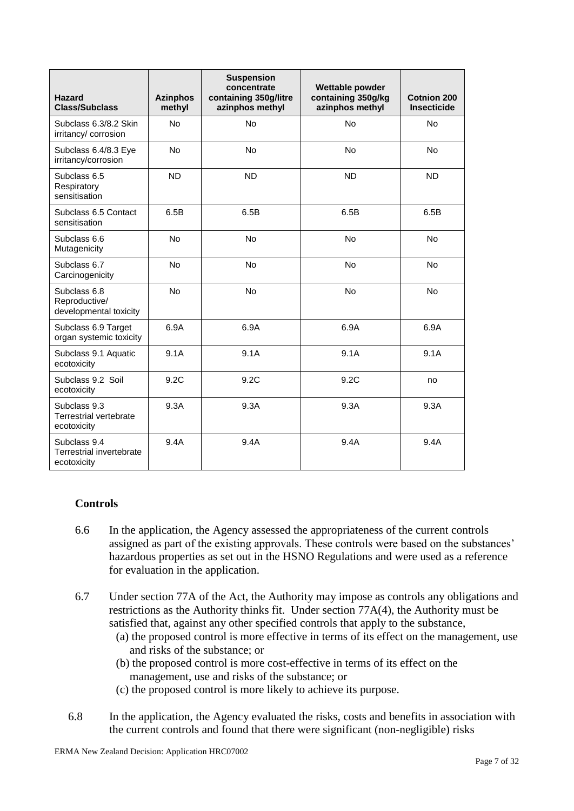| Hazard<br><b>Class/Subclass</b>                         | <b>Azinphos</b><br>methyl | <b>Suspension</b><br>concentrate<br>containing 350g/litre<br>azinphos methyl | <b>Wettable powder</b><br>containing 350g/kg<br>azinphos methyl | <b>Cotnion 200</b><br><b>Insecticide</b> |
|---------------------------------------------------------|---------------------------|------------------------------------------------------------------------------|-----------------------------------------------------------------|------------------------------------------|
| Subclass 6.3/8.2 Skin<br>irritancy/corrosion            | <b>No</b>                 | <b>No</b>                                                                    | <b>No</b>                                                       | <b>No</b>                                |
| Subclass 6.4/8.3 Eye<br>irritancy/corrosion             | <b>No</b>                 | <b>No</b>                                                                    | <b>No</b>                                                       | <b>No</b>                                |
| Subclass 6.5<br>Respiratory<br>sensitisation            | <b>ND</b>                 | <b>ND</b>                                                                    | <b>ND</b>                                                       | <b>ND</b>                                |
| Subclass 6.5 Contact<br>sensitisation                   | 6.5B                      | 6.5B                                                                         | 6.5B                                                            | 6.5B                                     |
| Subclass 6.6<br>Mutagenicity                            | No                        | No                                                                           | No                                                              | No                                       |
| Subclass 6.7<br>Carcinogenicity                         | <b>No</b>                 | <b>No</b>                                                                    | <b>No</b>                                                       | <b>No</b>                                |
| Subclass 6.8<br>Reproductive/<br>developmental toxicity | No                        | No                                                                           | No                                                              | No                                       |
| Subclass 6.9 Target<br>organ systemic toxicity          | 6.9A                      | 6.9A                                                                         | 6.9A                                                            | 6.9A                                     |
| Subclass 9.1 Aquatic<br>ecotoxicity                     | 9.1A                      | 9.1A                                                                         | 9.1A                                                            | 9.1A                                     |
| Subclass 9.2 Soil<br>ecotoxicity                        | 9.2C                      | 9.2C                                                                         | 9.2C                                                            | no                                       |
| Subclass 9.3<br>Terrestrial vertebrate<br>ecotoxicity   | 9.3A                      | 9.3A                                                                         | 9.3A                                                            | 9.3A                                     |
| Subclass 9.4<br>Terrestrial invertebrate<br>ecotoxicity | 9.4A                      | 9.4A                                                                         | 9.4A                                                            | 9.4A                                     |

### **Controls**

- 6.6 In the application, the Agency assessed the appropriateness of the current controls assigned as part of the existing approvals. These controls were based on the substances' hazardous properties as set out in the HSNO Regulations and were used as a reference for evaluation in the application.
- 6.7 Under section 77A of the Act, the Authority may impose as controls any obligations and restrictions as the Authority thinks fit. Under section 77A(4), the Authority must be satisfied that, against any other specified controls that apply to the substance,
	- (a) the proposed control is more effective in terms of its effect on the management, use and risks of the substance; or
	- (b) the proposed control is more cost-effective in terms of its effect on the management, use and risks of the substance; or
	- (c) the proposed control is more likely to achieve its purpose.
- 6.8 In the application, the Agency evaluated the risks, costs and benefits in association with the current controls and found that there were significant (non-negligible) risks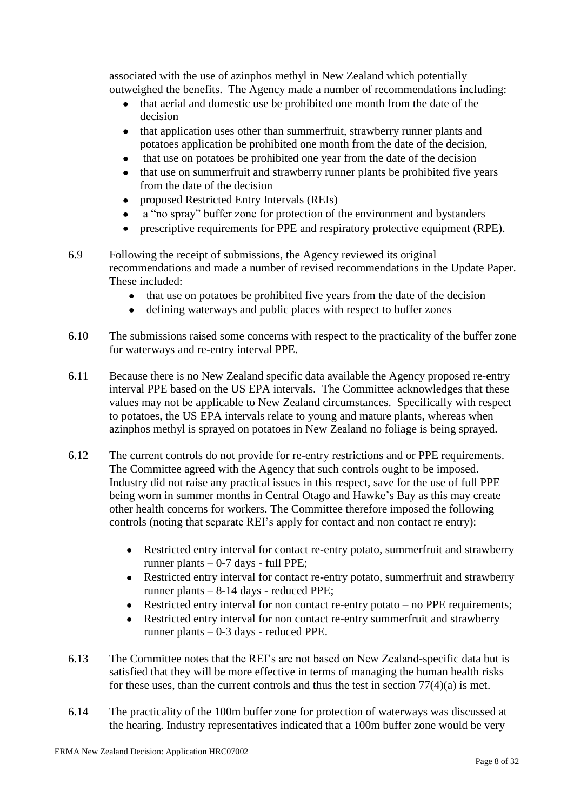associated with the use of azinphos methyl in New Zealand which potentially outweighed the benefits. The Agency made a number of recommendations including:

- that aerial and domestic use be prohibited one month from the date of the decision
- that application uses other than summerfruit, strawberry runner plants and potatoes application be prohibited one month from the date of the decision,
- that use on potatoes be prohibited one year from the date of the decision  $\bullet$
- that use on summerfruit and strawberry runner plants be prohibited five years from the date of the decision
- proposed Restricted Entry Intervals (REIs)
- a "no spray" buffer zone for protection of the environment and bystanders
- prescriptive requirements for PPE and respiratory protective equipment (RPE).
- 6.9 Following the receipt of submissions, the Agency reviewed its original recommendations and made a number of revised recommendations in the Update Paper. These included:
	- that use on potatoes be prohibited five years from the date of the decision
	- defining waterways and public places with respect to buffer zones  $\bullet$
- 6.10 The submissions raised some concerns with respect to the practicality of the buffer zone for waterways and re-entry interval PPE.
- 6.11 Because there is no New Zealand specific data available the Agency proposed re-entry interval PPE based on the US EPA intervals. The Committee acknowledges that these values may not be applicable to New Zealand circumstances. Specifically with respect to potatoes, the US EPA intervals relate to young and mature plants, whereas when azinphos methyl is sprayed on potatoes in New Zealand no foliage is being sprayed.
- 6.12 The current controls do not provide for re-entry restrictions and or PPE requirements. The Committee agreed with the Agency that such controls ought to be imposed. Industry did not raise any practical issues in this respect, save for the use of full PPE being worn in summer months in Central Otago and Hawke's Bay as this may create other health concerns for workers. The Committee therefore imposed the following controls (noting that separate REI's apply for contact and non contact re entry):
	- Restricted entry interval for contact re-entry potato, summerfruit and strawberry runner plants – 0-7 days - full PPE;
	- Restricted entry interval for contact re-entry potato, summerfruit and strawberry runner plants – 8-14 days - reduced PPE;
	- Restricted entry interval for non contact re-entry potato no PPE requirements;
	- Restricted entry interval for non contact re-entry summerfruit and strawberry runner plants – 0-3 days - reduced PPE.
- 6.13 The Committee notes that the REI's are not based on New Zealand-specific data but is satisfied that they will be more effective in terms of managing the human health risks for these uses, than the current controls and thus the test in section  $77(4)(a)$  is met.
- 6.14 The practicality of the 100m buffer zone for protection of waterways was discussed at the hearing. Industry representatives indicated that a 100m buffer zone would be very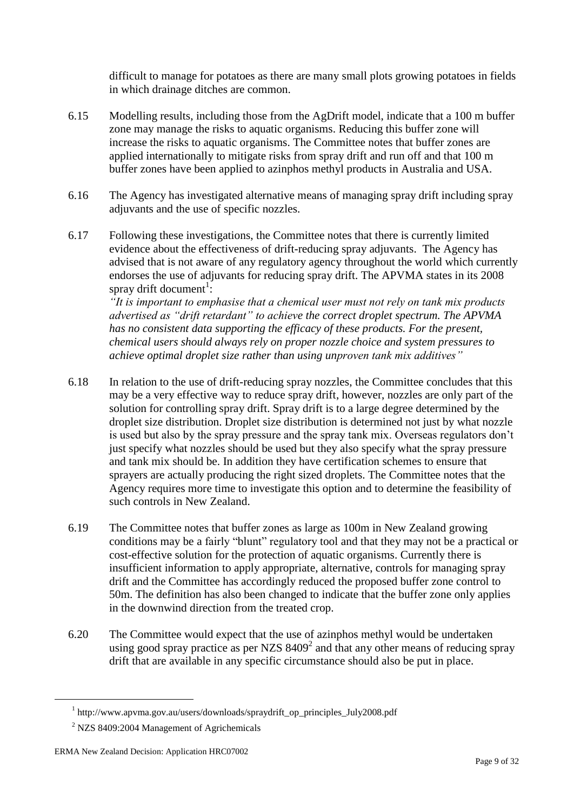difficult to manage for potatoes as there are many small plots growing potatoes in fields in which drainage ditches are common.

- 6.15 Modelling results, including those from the AgDrift model, indicate that a 100 m buffer zone may manage the risks to aquatic organisms. Reducing this buffer zone will increase the risks to aquatic organisms. The Committee notes that buffer zones are applied internationally to mitigate risks from spray drift and run off and that 100 m buffer zones have been applied to azinphos methyl products in Australia and USA.
- 6.16 The Agency has investigated alternative means of managing spray drift including spray adjuvants and the use of specific nozzles.
- 6.17 Following these investigations, the Committee notes that there is currently limited evidence about the effectiveness of drift-reducing spray adjuvants. The Agency has advised that is not aware of any regulatory agency throughout the world which currently endorses the use of adjuvants for reducing spray drift. The APVMA states in its 2008 spray drift document<sup>1</sup>:

*―It is important to emphasise that a chemical user must not rely on tank mix products*  advertised as "drift retardant" to achieve the correct droplet spectrum. The APVMA *has no consistent data supporting the efficacy of these products. For the present, chemical users should always rely on proper nozzle choice and system pressures to achieve optimal droplet size rather than using unproven tank mix additives*"

- 6.18 In relation to the use of drift-reducing spray nozzles, the Committee concludes that this may be a very effective way to reduce spray drift, however, nozzles are only part of the solution for controlling spray drift. Spray drift is to a large degree determined by the droplet size distribution. Droplet size distribution is determined not just by what nozzle is used but also by the spray pressure and the spray tank mix. Overseas regulators don't just specify what nozzles should be used but they also specify what the spray pressure and tank mix should be. In addition they have certification schemes to ensure that sprayers are actually producing the right sized droplets. The Committee notes that the Agency requires more time to investigate this option and to determine the feasibility of such controls in New Zealand.
- 6.19 The Committee notes that buffer zones as large as 100m in New Zealand growing conditions may be a fairly "blunt" regulatory tool and that they may not be a practical or cost-effective solution for the protection of aquatic organisms. Currently there is insufficient information to apply appropriate, alternative, controls for managing spray drift and the Committee has accordingly reduced the proposed buffer zone control to 50m. The definition has also been changed to indicate that the buffer zone only applies in the downwind direction from the treated crop.
- 6.20 The Committee would expect that the use of azinphos methyl would be undertaken using good spray practice as per NZS  $8409<sup>2</sup>$  and that any other means of reducing spray drift that are available in any specific circumstance should also be put in place.

<u>.</u>

<sup>&</sup>lt;sup>1</sup> http://www.apvma.gov.au/users/downloads/spraydrift\_op\_principles\_July2008.pdf

<sup>&</sup>lt;sup>2</sup> NZS 8409:2004 Management of Agrichemicals

ERMA New Zealand Decision: Application HRC07002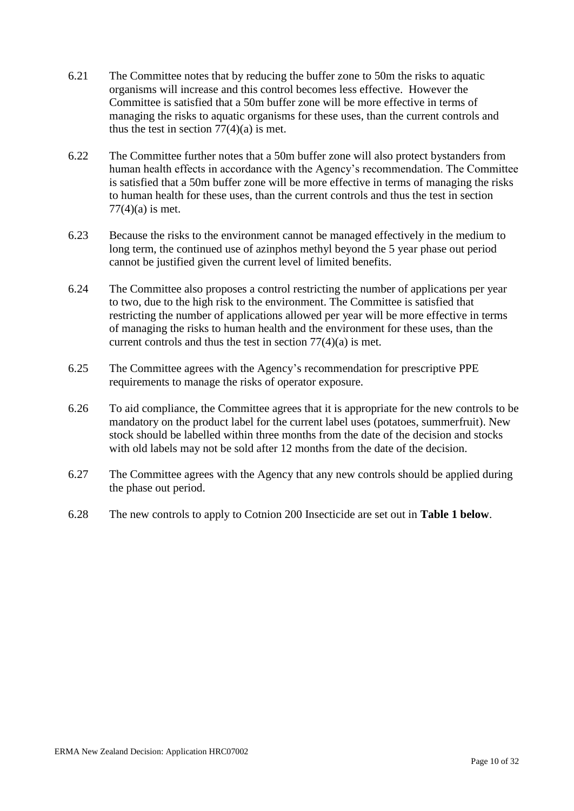- 6.21 The Committee notes that by reducing the buffer zone to 50m the risks to aquatic organisms will increase and this control becomes less effective. However the Committee is satisfied that a 50m buffer zone will be more effective in terms of managing the risks to aquatic organisms for these uses, than the current controls and thus the test in section  $77(4)(a)$  is met.
- 6.22 The Committee further notes that a 50m buffer zone will also protect bystanders from human health effects in accordance with the Agency's recommendation. The Committee is satisfied that a 50m buffer zone will be more effective in terms of managing the risks to human health for these uses, than the current controls and thus the test in section  $77(4)$ (a) is met.
- 6.23 Because the risks to the environment cannot be managed effectively in the medium to long term, the continued use of azinphos methyl beyond the 5 year phase out period cannot be justified given the current level of limited benefits.
- 6.24 The Committee also proposes a control restricting the number of applications per year to two, due to the high risk to the environment. The Committee is satisfied that restricting the number of applications allowed per year will be more effective in terms of managing the risks to human health and the environment for these uses, than the current controls and thus the test in section 77(4)(a) is met.
- 6.25 The Committee agrees with the Agency's recommendation for prescriptive PPE requirements to manage the risks of operator exposure.
- 6.26 To aid compliance, the Committee agrees that it is appropriate for the new controls to be mandatory on the product label for the current label uses (potatoes, summerfruit). New stock should be labelled within three months from the date of the decision and stocks with old labels may not be sold after 12 months from the date of the decision.
- 6.27 The Committee agrees with the Agency that any new controls should be applied during the phase out period.
- 6.28 The new controls to apply to Cotnion 200 Insecticide are set out in **Table 1 below**.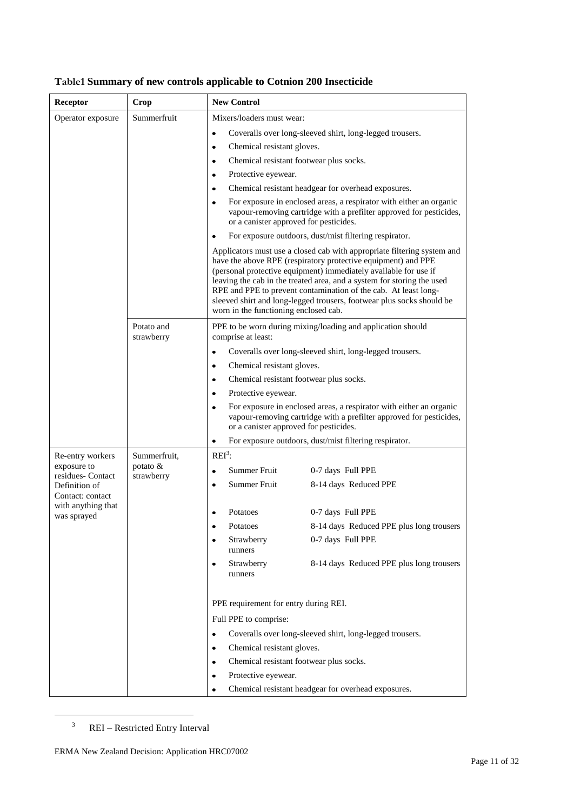| Receptor                          | Crop                     | <b>New Control</b>                                   |                                                                                                                                                                                                                                                                                                                                                                                                                                    |
|-----------------------------------|--------------------------|------------------------------------------------------|------------------------------------------------------------------------------------------------------------------------------------------------------------------------------------------------------------------------------------------------------------------------------------------------------------------------------------------------------------------------------------------------------------------------------------|
| Operator exposure                 | Summerfruit              | Mixers/loaders must wear:                            |                                                                                                                                                                                                                                                                                                                                                                                                                                    |
|                                   |                          | $\bullet$                                            | Coveralls over long-sleeved shirt, long-legged trousers.                                                                                                                                                                                                                                                                                                                                                                           |
|                                   |                          | Chemical resistant gloves.<br>٠                      |                                                                                                                                                                                                                                                                                                                                                                                                                                    |
|                                   |                          | Chemical resistant footwear plus socks.<br>$\bullet$ |                                                                                                                                                                                                                                                                                                                                                                                                                                    |
|                                   |                          | Protective eyewear.<br>$\bullet$                     |                                                                                                                                                                                                                                                                                                                                                                                                                                    |
|                                   |                          | $\bullet$                                            | Chemical resistant headgear for overhead exposures.                                                                                                                                                                                                                                                                                                                                                                                |
|                                   |                          | $\bullet$<br>or a canister approved for pesticides.  | For exposure in enclosed areas, a respirator with either an organic<br>vapour-removing cartridge with a prefilter approved for pesticides,                                                                                                                                                                                                                                                                                         |
|                                   |                          | $\bullet$                                            | For exposure outdoors, dust/mist filtering respirator.                                                                                                                                                                                                                                                                                                                                                                             |
|                                   |                          | worn in the functioning enclosed cab.                | Applicators must use a closed cab with appropriate filtering system and<br>have the above RPE (respiratory protective equipment) and PPE<br>(personal protective equipment) immediately available for use if<br>leaving the cab in the treated area, and a system for storing the used<br>RPE and PPE to prevent contamination of the cab. At least long-<br>sleeved shirt and long-legged trousers, footwear plus socks should be |
|                                   | Potato and<br>strawberry | comprise at least:                                   | PPE to be worn during mixing/loading and application should                                                                                                                                                                                                                                                                                                                                                                        |
|                                   |                          | $\bullet$                                            | Coveralls over long-sleeved shirt, long-legged trousers.                                                                                                                                                                                                                                                                                                                                                                           |
|                                   |                          | Chemical resistant gloves.<br>$\bullet$              |                                                                                                                                                                                                                                                                                                                                                                                                                                    |
|                                   |                          | Chemical resistant footwear plus socks.<br>$\bullet$ |                                                                                                                                                                                                                                                                                                                                                                                                                                    |
|                                   |                          | Protective eyewear.<br>$\bullet$                     |                                                                                                                                                                                                                                                                                                                                                                                                                                    |
|                                   |                          | $\bullet$<br>or a canister approved for pesticides.  | For exposure in enclosed areas, a respirator with either an organic<br>vapour-removing cartridge with a prefilter approved for pesticides,                                                                                                                                                                                                                                                                                         |
|                                   |                          | ٠                                                    | For exposure outdoors, dust/mist filtering respirator.                                                                                                                                                                                                                                                                                                                                                                             |
| Re-entry workers                  | Summerfruit,             | $REI3$ :                                             |                                                                                                                                                                                                                                                                                                                                                                                                                                    |
| exposure to<br>residues-Contact   | potato $&$<br>strawberry | Summer Fruit<br>٠                                    | 0-7 days Full PPE                                                                                                                                                                                                                                                                                                                                                                                                                  |
| Definition of                     |                          | Summer Fruit<br>$\bullet$                            | 8-14 days Reduced PPE                                                                                                                                                                                                                                                                                                                                                                                                              |
| Contact: contact                  |                          |                                                      |                                                                                                                                                                                                                                                                                                                                                                                                                                    |
| with anything that<br>was sprayed |                          | Potatoes<br>٠                                        | 0-7 days Full PPE                                                                                                                                                                                                                                                                                                                                                                                                                  |
|                                   |                          | Potatoes                                             | 8-14 days Reduced PPE plus long trousers                                                                                                                                                                                                                                                                                                                                                                                           |
|                                   |                          | Strawberry<br>runners                                | 0-7 days Full PPE                                                                                                                                                                                                                                                                                                                                                                                                                  |
|                                   |                          | Strawberry<br>$\bullet$<br>runners                   | 8-14 days Reduced PPE plus long trousers                                                                                                                                                                                                                                                                                                                                                                                           |
|                                   |                          | PPE requirement for entry during REI.                |                                                                                                                                                                                                                                                                                                                                                                                                                                    |
|                                   |                          | Full PPE to comprise:                                |                                                                                                                                                                                                                                                                                                                                                                                                                                    |
|                                   |                          | $\bullet$                                            | Coveralls over long-sleeved shirt, long-legged trousers.                                                                                                                                                                                                                                                                                                                                                                           |
|                                   |                          | Chemical resistant gloves.<br>٠                      |                                                                                                                                                                                                                                                                                                                                                                                                                                    |
|                                   |                          | Chemical resistant footwear plus socks.<br>٠         |                                                                                                                                                                                                                                                                                                                                                                                                                                    |
|                                   |                          | Protective eyewear.<br>٠                             |                                                                                                                                                                                                                                                                                                                                                                                                                                    |
|                                   |                          | ٠                                                    | Chemical resistant headgear for overhead exposures.                                                                                                                                                                                                                                                                                                                                                                                |

### **Table1 Summary of new controls applicable to Cotnion 200 Insecticide**

<sup>3</sup> REI – Restricted Entry Interval

<u>.</u>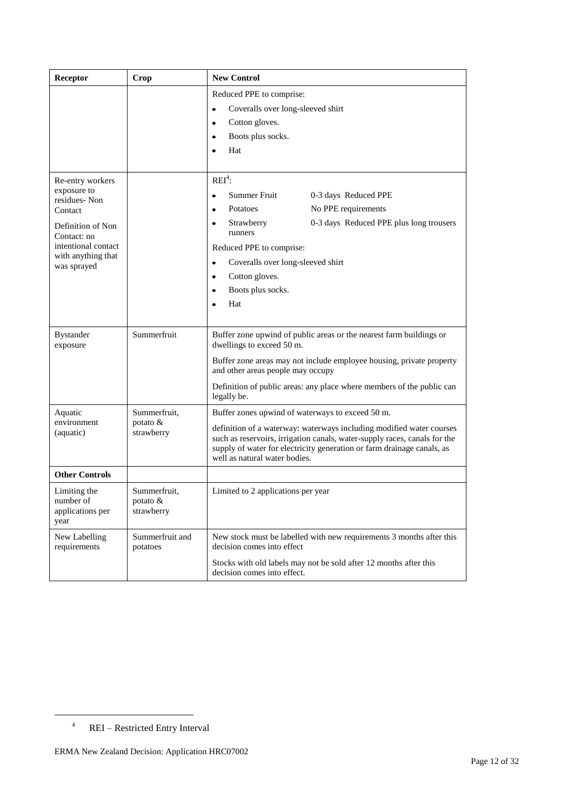| Receptor                                                                                                                                                   | Crop                                   | <b>New Control</b>                                                                                                                                                                                                                                                                                                                |
|------------------------------------------------------------------------------------------------------------------------------------------------------------|----------------------------------------|-----------------------------------------------------------------------------------------------------------------------------------------------------------------------------------------------------------------------------------------------------------------------------------------------------------------------------------|
|                                                                                                                                                            |                                        | Reduced PPE to comprise:<br>Coveralls over long-sleeved shirt<br>$\bullet$<br>Cotton gloves.<br>٠<br>Boots plus socks.<br>٠<br>Hat<br>Ċ                                                                                                                                                                                           |
| Re-entry workers<br>exposure to<br>residues-Non<br>Contact<br>Definition of Non<br>Contact: no<br>intentional contact<br>with anything that<br>was sprayed |                                        | $REI4$ :<br>Summer Fruit<br>0-3 days Reduced PPE<br>$\bullet$<br>No PPE requirements<br>Potatoes<br>٠<br>0-3 days Reduced PPE plus long trousers<br>Strawberry<br>٠<br>runners<br>Reduced PPE to comprise:<br>Coveralls over long-sleeved shirt<br>٠<br>Cotton gloves.<br>$\bullet$<br>Boots plus socks.<br>$\bullet$<br>Hat<br>٠ |
| <b>Bystander</b><br>exposure                                                                                                                               | Summerfruit                            | Buffer zone upwind of public areas or the nearest farm buildings or<br>dwellings to exceed 50 m.<br>Buffer zone areas may not include employee housing, private property<br>and other areas people may occupy<br>Definition of public areas: any place where members of the public can<br>legally be.                             |
| Aquatic<br>environment<br>(aquatic)                                                                                                                        | Summerfruit,<br>potato &<br>strawberry | Buffer zones upwind of waterways to exceed 50 m.<br>definition of a waterway: waterways including modified water courses<br>such as reservoirs, irrigation canals, water-supply races, canals for the<br>supply of water for electricity generation or farm drainage canals, as<br>well as natural water bodies.                  |
| <b>Other Controls</b>                                                                                                                                      |                                        |                                                                                                                                                                                                                                                                                                                                   |
| Limiting the<br>number of<br>applications per<br>year                                                                                                      | Summerfruit,<br>potato &<br>strawberry | Limited to 2 applications per year                                                                                                                                                                                                                                                                                                |
| New Labelling<br>requirements                                                                                                                              | Summerfruit and<br>potatoes            | New stock must be labelled with new requirements 3 months after this<br>decision comes into effect                                                                                                                                                                                                                                |
|                                                                                                                                                            |                                        | Stocks with old labels may not be sold after 12 months after this<br>decision comes into effect.                                                                                                                                                                                                                                  |

<u>.</u>

<sup>4</sup> REI – Restricted Entry Interval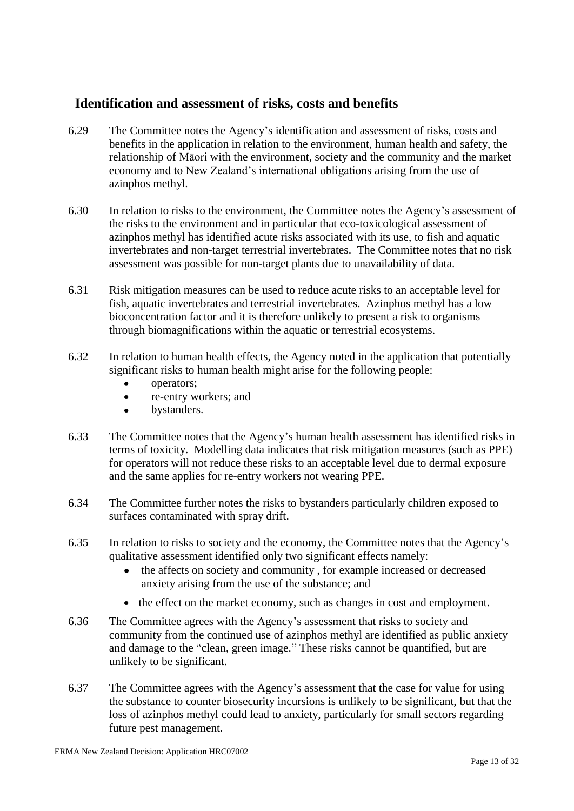### **Identification and assessment of risks, costs and benefits**

- 6.29 The Committee notes the Agency's identification and assessment of risks, costs and benefits in the application in relation to the environment, human health and safety, the relationship of Māori with the environment, society and the community and the market economy and to New Zealand's international obligations arising from the use of azinphos methyl.
- 6.30 In relation to risks to the environment, the Committee notes the Agency's assessment of the risks to the environment and in particular that eco-toxicological assessment of azinphos methyl has identified acute risks associated with its use, to fish and aquatic invertebrates and non-target terrestrial invertebrates. The Committee notes that no risk assessment was possible for non-target plants due to unavailability of data.
- 6.31 Risk mitigation measures can be used to reduce acute risks to an acceptable level for fish, aquatic invertebrates and terrestrial invertebrates. Azinphos methyl has a low bioconcentration factor and it is therefore unlikely to present a risk to organisms through biomagnifications within the aquatic or terrestrial ecosystems.
- 6.32 In relation to human health effects, the Agency noted in the application that potentially significant risks to human health might arise for the following people:
	- operators;
	- re-entry workers; and  $\bullet$
	- bystanders.  $\ddot{\phantom{a}}$
- 6.33 The Committee notes that the Agency's human health assessment has identified risks in terms of toxicity. Modelling data indicates that risk mitigation measures (such as PPE) for operators will not reduce these risks to an acceptable level due to dermal exposure and the same applies for re-entry workers not wearing PPE.
- 6.34 The Committee further notes the risks to bystanders particularly children exposed to surfaces contaminated with spray drift.
- 6.35 In relation to risks to society and the economy, the Committee notes that the Agency's qualitative assessment identified only two significant effects namely:
	- the affects on society and community , for example increased or decreased anxiety arising from the use of the substance; and
	- the effect on the market economy, such as changes in cost and employment.
- 6.36 The Committee agrees with the Agency's assessment that risks to society and community from the continued use of azinphos methyl are identified as public anxiety and damage to the "clean, green image." These risks cannot be quantified, but are unlikely to be significant.
- 6.37 The Committee agrees with the Agency's assessment that the case for value for using the substance to counter biosecurity incursions is unlikely to be significant, but that the loss of azinphos methyl could lead to anxiety, particularly for small sectors regarding future pest management.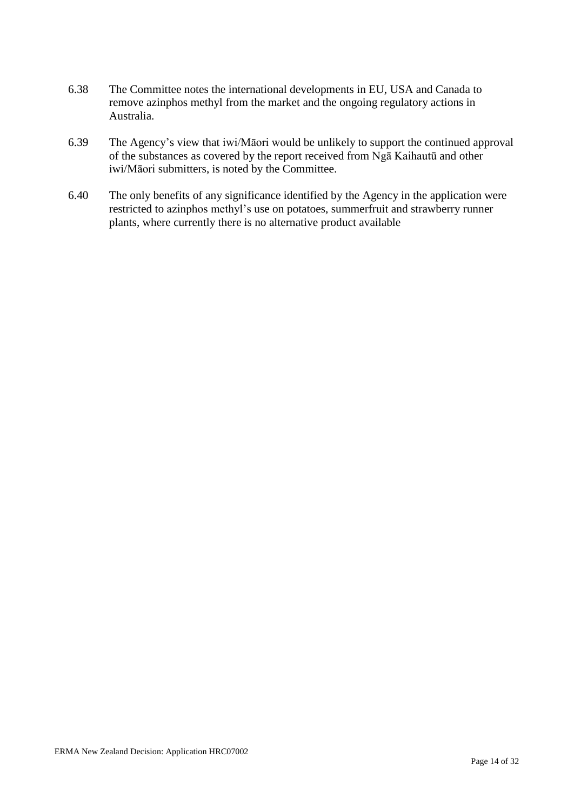- 6.38 The Committee notes the international developments in EU, USA and Canada to remove azinphos methyl from the market and the ongoing regulatory actions in Australia.
- 6.39 The Agency's view that iwi/Māori would be unlikely to support the continued approval of the substances as covered by the report received from Ngā Kaihautū and other iwi/Māori submitters, is noted by the Committee.
- 6.40 The only benefits of any significance identified by the Agency in the application were restricted to azinphos methyl's use on potatoes, summerfruit and strawberry runner plants, where currently there is no alternative product available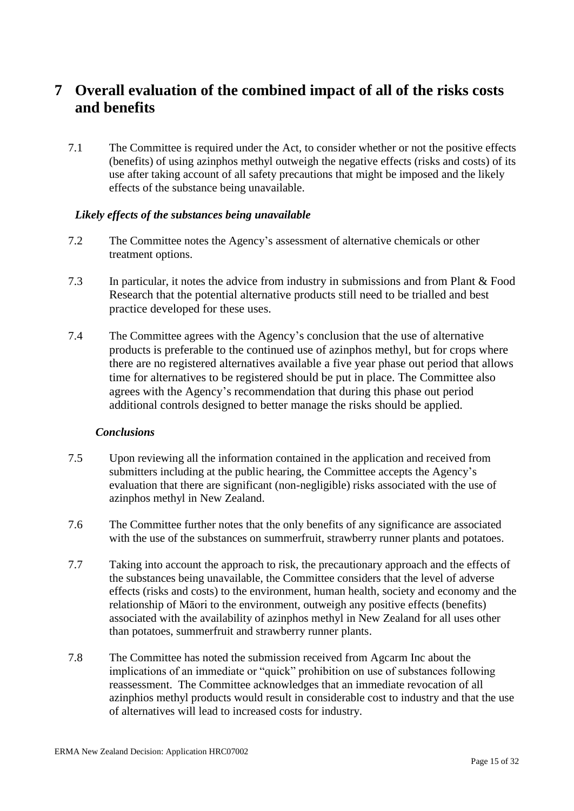## **7 Overall evaluation of the combined impact of all of the risks costs and benefits**

7.1 The Committee is required under the Act, to consider whether or not the positive effects (benefits) of using azinphos methyl outweigh the negative effects (risks and costs) of its use after taking account of all safety precautions that might be imposed and the likely effects of the substance being unavailable.

#### *Likely effects of the substances being unavailable*

- 7.2 The Committee notes the Agency's assessment of alternative chemicals or other treatment options.
- 7.3 In particular, it notes the advice from industry in submissions and from Plant & Food Research that the potential alternative products still need to be trialled and best practice developed for these uses.
- 7.4 The Committee agrees with the Agency's conclusion that the use of alternative products is preferable to the continued use of azinphos methyl, but for crops where there are no registered alternatives available a five year phase out period that allows time for alternatives to be registered should be put in place. The Committee also agrees with the Agency's recommendation that during this phase out period additional controls designed to better manage the risks should be applied.

#### *Conclusions*

- 7.5 Upon reviewing all the information contained in the application and received from submitters including at the public hearing, the Committee accepts the Agency's evaluation that there are significant (non-negligible) risks associated with the use of azinphos methyl in New Zealand.
- 7.6 The Committee further notes that the only benefits of any significance are associated with the use of the substances on summerfruit, strawberry runner plants and potatoes.
- 7.7 Taking into account the approach to risk, the precautionary approach and the effects of the substances being unavailable, the Committee considers that the level of adverse effects (risks and costs) to the environment, human health, society and economy and the relationship of Māori to the environment, outweigh any positive effects (benefits) associated with the availability of azinphos methyl in New Zealand for all uses other than potatoes, summerfruit and strawberry runner plants.
- 7.8 The Committee has noted the submission received from Agcarm Inc about the implications of an immediate or "quick" prohibition on use of substances following reassessment. The Committee acknowledges that an immediate revocation of all azinphios methyl products would result in considerable cost to industry and that the use of alternatives will lead to increased costs for industry.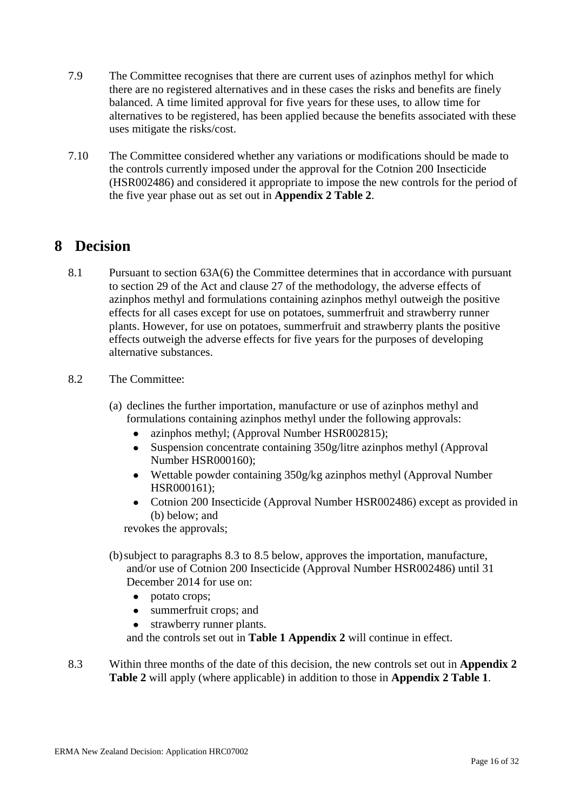- 7.9 The Committee recognises that there are current uses of azinphos methyl for which there are no registered alternatives and in these cases the risks and benefits are finely balanced. A time limited approval for five years for these uses, to allow time for alternatives to be registered, has been applied because the benefits associated with these uses mitigate the risks/cost.
- 7.10 The Committee considered whether any variations or modifications should be made to the controls currently imposed under the approval for the Cotnion 200 Insecticide (HSR002486) and considered it appropriate to impose the new controls for the period of the five year phase out as set out in **Appendix 2 Table 2**.

### **8 Decision**

- 8.1 Pursuant to section 63A(6) the Committee determines that in accordance with pursuant to section 29 of the Act and clause 27 of the methodology, the adverse effects of azinphos methyl and formulations containing azinphos methyl outweigh the positive effects for all cases except for use on potatoes, summerfruit and strawberry runner plants. However, for use on potatoes, summerfruit and strawberry plants the positive effects outweigh the adverse effects for five years for the purposes of developing alternative substances.
- 8.2 The Committee:
	- (a) declines the further importation, manufacture or use of azinphos methyl and formulations containing azinphos methyl under the following approvals:
		- azinphos methyl; (Approval Number HSR002815);  $\bullet$
		- $\bullet$ Suspension concentrate containing 350g/litre azinphos methyl (Approval Number HSR000160);
		- Wettable powder containing 350g/kg azinphos methyl (Approval Number HSR000161);
		- Cotnion 200 Insecticide (Approval Number HSR002486) except as provided in (b) below; and

revokes the approvals;

- (b)subject to paragraphs 8.3 to 8.5 below, approves the importation, manufacture, and/or use of Cotnion 200 Insecticide (Approval Number HSR002486) until 31 December 2014 for use on:
	- $\bullet$ potato crops;
	- $\bullet$ summerfruit crops; and
	- strawberry runner plants.

and the controls set out in **Table 1 Appendix 2** will continue in effect.

8.3 Within three months of the date of this decision, the new controls set out in **Appendix 2 Table 2** will apply (where applicable) in addition to those in **Appendix 2 Table 1**.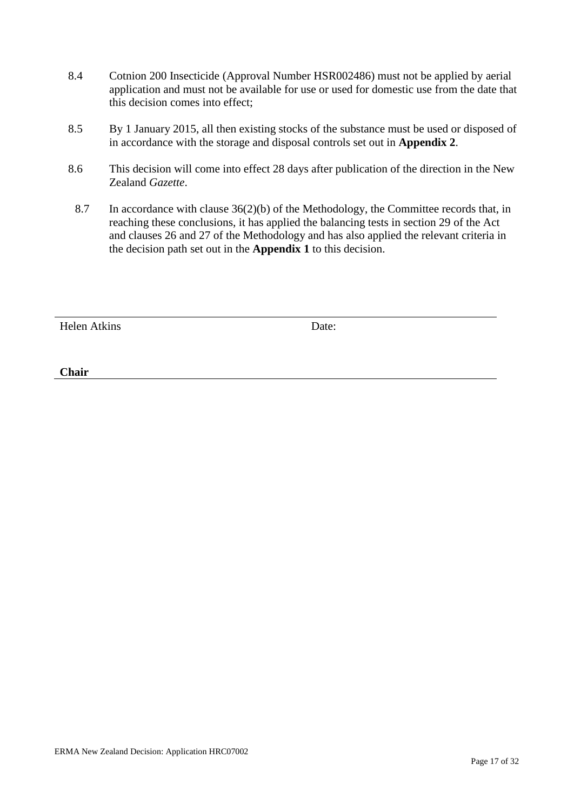- 8.4 Cotnion 200 Insecticide (Approval Number HSR002486) must not be applied by aerial application and must not be available for use or used for domestic use from the date that this decision comes into effect;
- 8.5 By 1 January 2015, all then existing stocks of the substance must be used or disposed of in accordance with the storage and disposal controls set out in **Appendix 2**.
- 8.6 This decision will come into effect 28 days after publication of the direction in the New Zealand *Gazette*.
	- 8.7 In accordance with clause 36(2)(b) of the Methodology, the Committee records that, in reaching these conclusions, it has applied the balancing tests in section 29 of the Act and clauses 26 and 27 of the Methodology and has also applied the relevant criteria in the decision path set out in the **Appendix 1** to this decision.

Helen Atkins Date:

**Chair**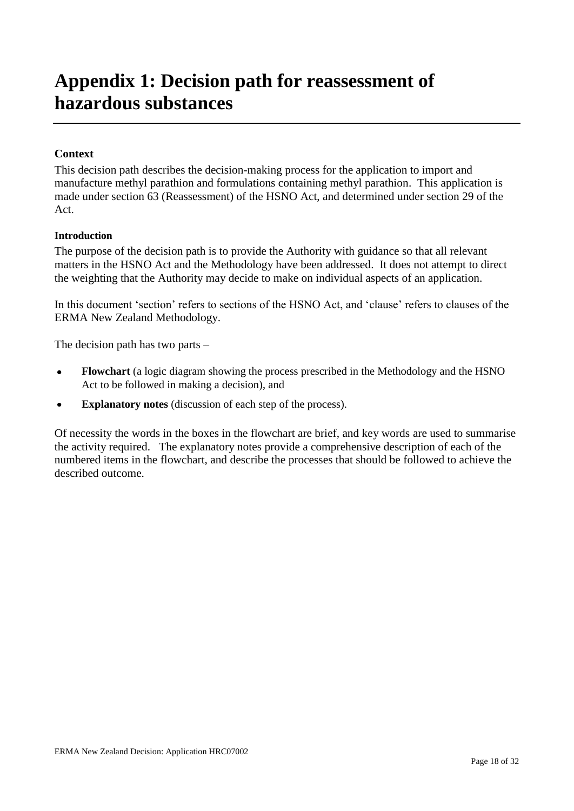# **Appendix 1: Decision path for reassessment of hazardous substances**

#### **Context**

This decision path describes the decision-making process for the application to import and manufacture methyl parathion and formulations containing methyl parathion. This application is made under section 63 (Reassessment) of the HSNO Act, and determined under section 29 of the Act.

#### **Introduction**

The purpose of the decision path is to provide the Authority with guidance so that all relevant matters in the HSNO Act and the Methodology have been addressed. It does not attempt to direct the weighting that the Authority may decide to make on individual aspects of an application.

In this document 'section' refers to sections of the HSNO Act, and 'clause' refers to clauses of the ERMA New Zealand Methodology.

The decision path has two parts –

- **Flowchart** (a logic diagram showing the process prescribed in the Methodology and the HSNO  $\bullet$ Act to be followed in making a decision), and
- $\bullet$ **Explanatory notes** (discussion of each step of the process).

Of necessity the words in the boxes in the flowchart are brief, and key words are used to summarise the activity required. The explanatory notes provide a comprehensive description of each of the numbered items in the flowchart, and describe the processes that should be followed to achieve the described outcome.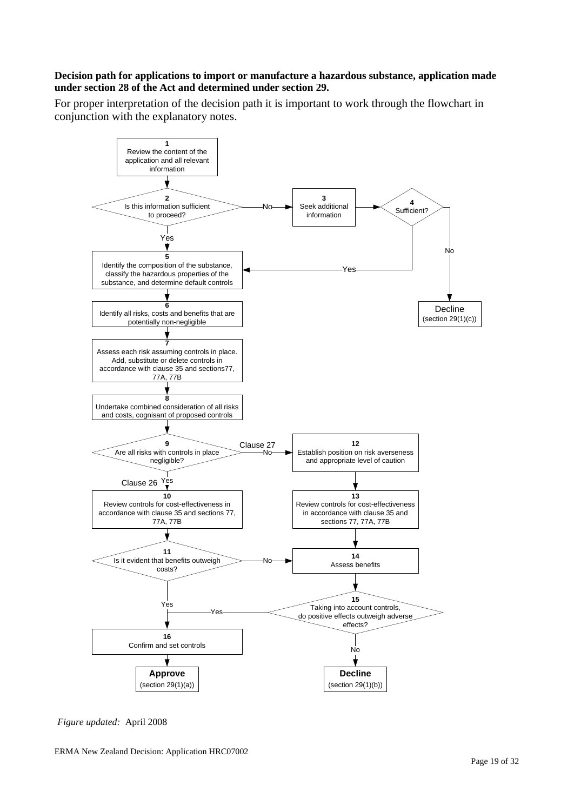#### **Decision path for applications to import or manufacture a hazardous substance, application made under section 28 of the Act and determined under section 29.**

For proper interpretation of the decision path it is important to work through the flowchart in conjunction with the explanatory notes.



*Figure updated:* April 2008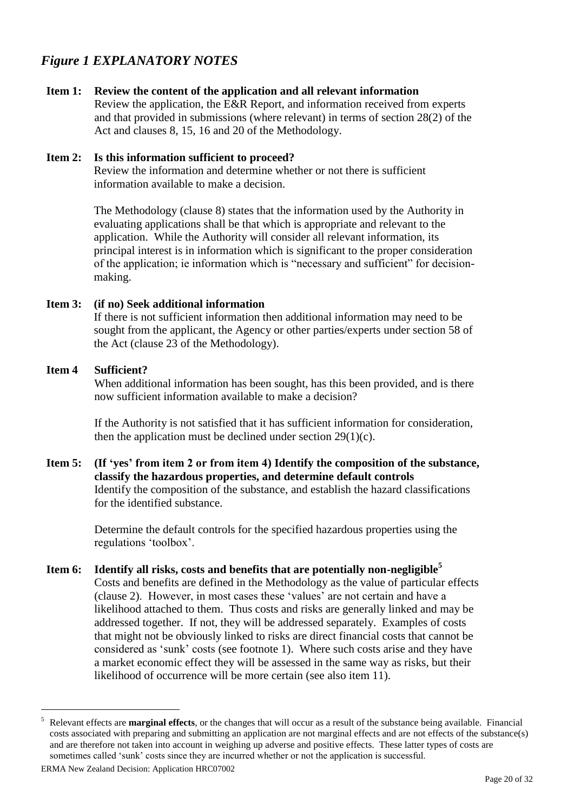### *Figure 1 EXPLANATORY NOTES*

#### **Item 1: Review the content of the application and all relevant information**

Review the application, the E&R Report, and information received from experts and that provided in submissions (where relevant) in terms of section 28(2) of the Act and clauses 8, 15, 16 and 20 of the Methodology.

#### **Item 2: Is this information sufficient to proceed?**

Review the information and determine whether or not there is sufficient information available to make a decision.

The Methodology (clause 8) states that the information used by the Authority in evaluating applications shall be that which is appropriate and relevant to the application. While the Authority will consider all relevant information, its principal interest is in information which is significant to the proper consideration of the application; ie information which is "necessary and sufficient" for decisionmaking.

#### **Item 3: (if no) Seek additional information**

If there is not sufficient information then additional information may need to be sought from the applicant, the Agency or other parties/experts under section 58 of the Act (clause 23 of the Methodology).

#### **Item 4 Sufficient?**

When additional information has been sought, has this been provided, and is there now sufficient information available to make a decision?

If the Authority is not satisfied that it has sufficient information for consideration, then the application must be declined under section  $29(1)(c)$ .

**Item 5: (If 'yes' from item 2 or from item 4) Identify the composition of the substance, classify the hazardous properties, and determine default controls** Identify the composition of the substance, and establish the hazard classifications for the identified substance.

> Determine the default controls for the specified hazardous properties using the regulations 'toolbox'.

**Item 6: Identify all risks, costs and benefits that are potentially non-negligible<sup>5</sup>** Costs and benefits are defined in the Methodology as the value of particular effects (clause 2). However, in most cases these ‗values' are not certain and have a likelihood attached to them. Thus costs and risks are generally linked and may be addressed together. If not, they will be addressed separately. Examples of costs that might not be obviously linked to risks are direct financial costs that cannot be considered as 'sunk' costs (see footnote 1). Where such costs arise and they have a market economic effect they will be assessed in the same way as risks, but their likelihood of occurrence will be more certain (see also item 11).

<sup>5</sup> Relevant effects are **marginal effects**, or the changes that will occur as a result of the substance being available. Financial costs associated with preparing and submitting an application are not marginal effects and are not effects of the substance(s) and are therefore not taken into account in weighing up adverse and positive effects. These latter types of costs are sometimes called 'sunk' costs since they are incurred whether or not the application is successful.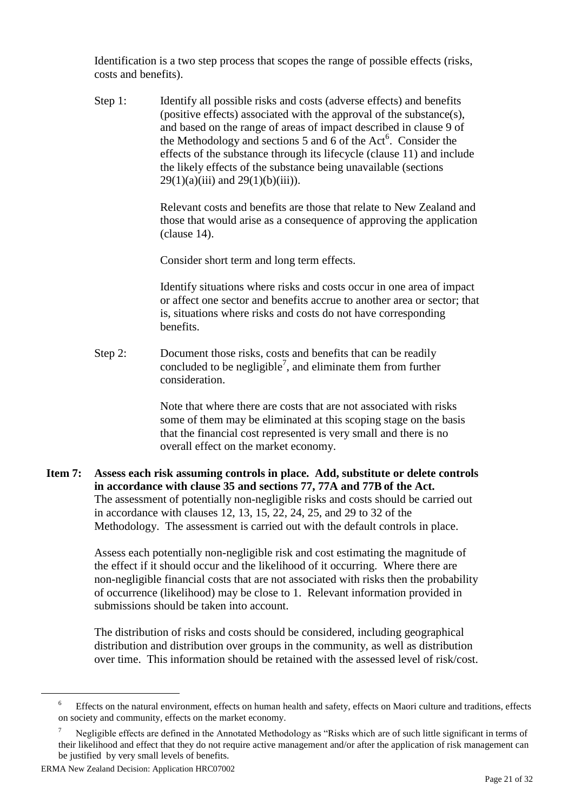Identification is a two step process that scopes the range of possible effects (risks, costs and benefits).

Step 1: Identify all possible risks and costs (adverse effects) and benefits (positive effects) associated with the approval of the substance(s), and based on the range of areas of impact described in clause 9 of the Methodology and sections 5 and  $6$  of the Act<sup>6</sup>. Consider the effects of the substance through its lifecycle (clause 11) and include the likely effects of the substance being unavailable (sections  $29(1)(a)(iii)$  and  $29(1)(b)(iii)$ .

> Relevant costs and benefits are those that relate to New Zealand and those that would arise as a consequence of approving the application (clause 14).

Consider short term and long term effects.

Identify situations where risks and costs occur in one area of impact or affect one sector and benefits accrue to another area or sector; that is, situations where risks and costs do not have corresponding benefits.

Step 2: Document those risks, costs and benefits that can be readily concluded to be negligible<sup>7</sup>, and eliminate them from further consideration.

> Note that where there are costs that are not associated with risks some of them may be eliminated at this scoping stage on the basis that the financial cost represented is very small and there is no overall effect on the market economy.

**Item 7: Assess each risk assuming controls in place. Add, substitute or delete controls in accordance with clause 35 and sections 77, 77A and 77B of the Act.** The assessment of potentially non-negligible risks and costs should be carried out in accordance with clauses 12, 13, 15, 22, 24, 25, and 29 to 32 of the Methodology. The assessment is carried out with the default controls in place.

> Assess each potentially non-negligible risk and cost estimating the magnitude of the effect if it should occur and the likelihood of it occurring. Where there are non-negligible financial costs that are not associated with risks then the probability of occurrence (likelihood) may be close to 1. Relevant information provided in submissions should be taken into account.

> The distribution of risks and costs should be considered, including geographical distribution and distribution over groups in the community, as well as distribution over time. This information should be retained with the assessed level of risk/cost.

<sup>&</sup>lt;sup>6</sup> Effects on the natural environment, effects on human health and safety, effects on Maori culture and traditions, effects on society and community, effects on the market economy.

Negligible effects are defined in the Annotated Methodology as "Risks which are of such little significant in terms of their likelihood and effect that they do not require active management and/or after the application of risk management can be justified by very small levels of benefits.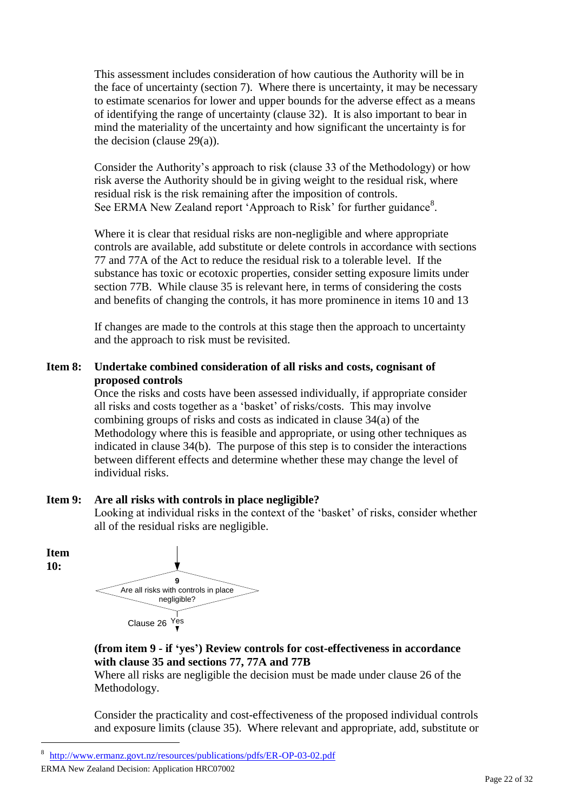This assessment includes consideration of how cautious the Authority will be in the face of uncertainty (section 7). Where there is uncertainty, it may be necessary to estimate scenarios for lower and upper bounds for the adverse effect as a means of identifying the range of uncertainty (clause 32). It is also important to bear in mind the materiality of the uncertainty and how significant the uncertainty is for the decision (clause 29(a)).

Consider the Authority's approach to risk (clause 33 of the Methodology) or how risk averse the Authority should be in giving weight to the residual risk, where residual risk is the risk remaining after the imposition of controls. See ERMA New Zealand report 'Approach to Risk' for further guidance<sup>8</sup>.

Where it is clear that residual risks are non-negligible and where appropriate controls are available, add substitute or delete controls in accordance with sections 77 and 77A of the Act to reduce the residual risk to a tolerable level. If the substance has toxic or ecotoxic properties, consider setting exposure limits under section 77B. While clause 35 is relevant here, in terms of considering the costs and benefits of changing the controls, it has more prominence in items 10 and 13

If changes are made to the controls at this stage then the approach to uncertainty and the approach to risk must be revisited.

#### **Item 8: Undertake combined consideration of all risks and costs, cognisant of proposed controls**

Once the risks and costs have been assessed individually, if appropriate consider all risks and costs together as a 'basket' of risks/costs. This may involve combining groups of risks and costs as indicated in clause 34(a) of the Methodology where this is feasible and appropriate, or using other techniques as indicated in clause 34(b). The purpose of this step is to consider the interactions between different effects and determine whether these may change the level of individual risks.

### **Item 9: Are all risks with controls in place negligible?**

Looking at individual risks in the context of the 'basket' of risks, consider whether all of the residual risks are negligible.

**Item 10:**

 $\overline{a}$ 



#### **(from item 9 - if 'yes') Review controls for cost-effectiveness in accordance with clause 35 and sections 77, 77A and 77B**

Where all risks are negligible the decision must be made under clause 26 of the Methodology.

Consider the practicality and cost-effectiveness of the proposed individual controls and exposure limits (clause 35). Where relevant and appropriate, add, substitute or

<sup>8</sup> <http://www.ermanz.govt.nz/resources/publications/pdfs/ER-OP-03-02.pdf>

ERMA New Zealand Decision: Application HRC07002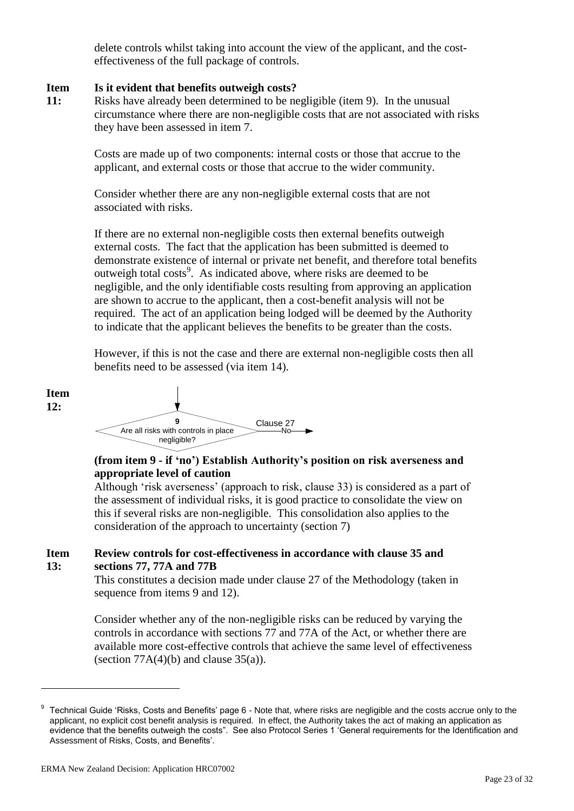delete controls whilst taking into account the view of the applicant, and the costeffectiveness of the full package of controls.

#### **Item Is it evident that benefits outweigh costs?**

**11:** Risks have already been determined to be negligible (item 9). In the unusual circumstance where there are non-negligible costs that are not associated with risks they have been assessed in item 7.

> Costs are made up of two components: internal costs or those that accrue to the applicant, and external costs or those that accrue to the wider community.

Consider whether there are any non-negligible external costs that are not associated with risks.

If there are no external non-negligible costs then external benefits outweigh external costs. The fact that the application has been submitted is deemed to demonstrate existence of internal or private net benefit, and therefore total benefits outweigh total costs<sup>9</sup>. As indicated above, where risks are deemed to be negligible, and the only identifiable costs resulting from approving an application are shown to accrue to the applicant, then a cost-benefit analysis will not be required. The act of an application being lodged will be deemed by the Authority to indicate that the applicant believes the benefits to be greater than the costs.

However, if this is not the case and there are external non-negligible costs then all benefits need to be assessed (via item 14).



### **(from item 9 - if 'no') Establish Authority's position on risk averseness and appropriate level of caution**

Although 'risk averseness' (approach to risk, clause 33) is considered as a part of the assessment of individual risks, it is good practice to consolidate the view on this if several risks are non-negligible. This consolidation also applies to the consideration of the approach to uncertainty (section 7)

#### **Item 13: Review controls for cost-effectiveness in accordance with clause 35 and sections 77, 77A and 77B**

This constitutes a decision made under clause 27 of the Methodology (taken in sequence from items 9 and 12).

Consider whether any of the non-negligible risks can be reduced by varying the controls in accordance with sections 77 and 77A of the Act, or whether there are available more cost-effective controls that achieve the same level of effectiveness (section  $77A(4)(b)$  and clause  $35(a)$ ).

<sup>9</sup> Technical Guide 'Risks, Costs and Benefits' page 6 - Note that, where risks are negligible and the costs accrue only to the applicant, no explicit cost benefit analysis is required. In effect, the Authority takes the act of making an application as evidence that the benefits outweigh the costs". See also Protocol Series 1 'General requirements for the Identification and Assessment of Risks, Costs, and Benefits'.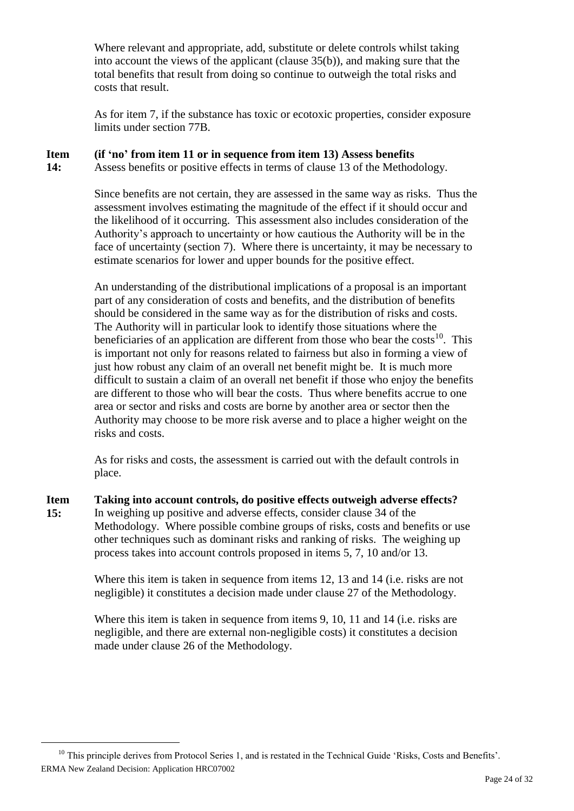Where relevant and appropriate, add, substitute or delete controls whilst taking into account the views of the applicant (clause 35(b)), and making sure that the total benefits that result from doing so continue to outweigh the total risks and costs that result.

As for item 7, if the substance has toxic or ecotoxic properties, consider exposure limits under section 77B.

#### **Item (if 'no' from item 11 or in sequence from item 13) Assess benefits**

**14:** Assess benefits or positive effects in terms of clause 13 of the Methodology.

> Since benefits are not certain, they are assessed in the same way as risks. Thus the assessment involves estimating the magnitude of the effect if it should occur and the likelihood of it occurring. This assessment also includes consideration of the Authority's approach to uncertainty or how cautious the Authority will be in the face of uncertainty (section 7). Where there is uncertainty, it may be necessary to estimate scenarios for lower and upper bounds for the positive effect.

> An understanding of the distributional implications of a proposal is an important part of any consideration of costs and benefits, and the distribution of benefits should be considered in the same way as for the distribution of risks and costs. The Authority will in particular look to identify those situations where the beneficiaries of an application are different from those who bear the  $costs<sup>10</sup>$ . This is important not only for reasons related to fairness but also in forming a view of just how robust any claim of an overall net benefit might be. It is much more difficult to sustain a claim of an overall net benefit if those who enjoy the benefits are different to those who will bear the costs. Thus where benefits accrue to one area or sector and risks and costs are borne by another area or sector then the Authority may choose to be more risk averse and to place a higher weight on the risks and costs.

As for risks and costs, the assessment is carried out with the default controls in place.

**Item 15: Taking into account controls, do positive effects outweigh adverse effects?** In weighing up positive and adverse effects, consider clause 34 of the Methodology. Where possible combine groups of risks, costs and benefits or use other techniques such as dominant risks and ranking of risks. The weighing up process takes into account controls proposed in items 5, 7, 10 and/or 13.

> Where this item is taken in sequence from items 12, 13 and 14 (i.e. risks are not negligible) it constitutes a decision made under clause 27 of the Methodology.

Where this item is taken in sequence from items 9, 10, 11 and 14 (i.e. risks are negligible, and there are external non-negligible costs) it constitutes a decision made under clause 26 of the Methodology.

ERMA New Zealand Decision: Application HRC07002  $10$  This principle derives from Protocol Series 1, and is restated in the Technical Guide 'Risks, Costs and Benefits'.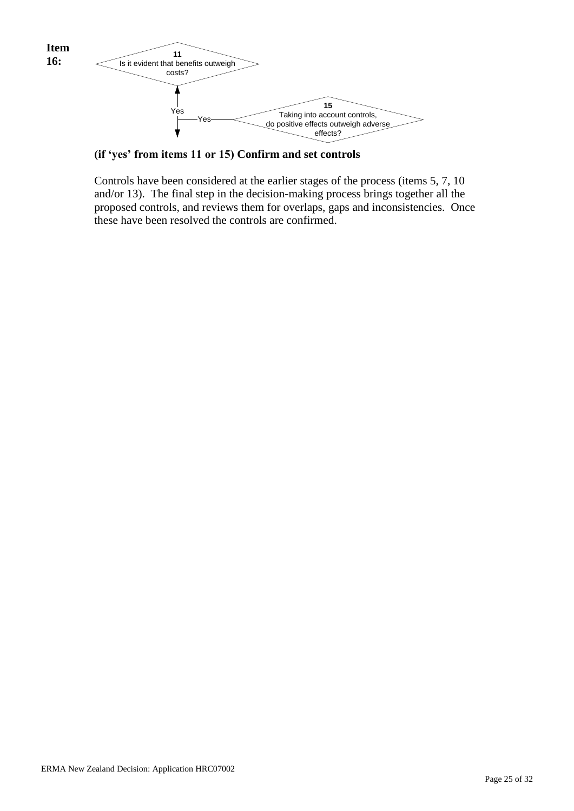

**(if 'yes' from items 11 or 15) Confirm and set controls**

Controls have been considered at the earlier stages of the process (items 5, 7, 10 and/or 13). The final step in the decision-making process brings together all the proposed controls, and reviews them for overlaps, gaps and inconsistencies. Once these have been resolved the controls are confirmed.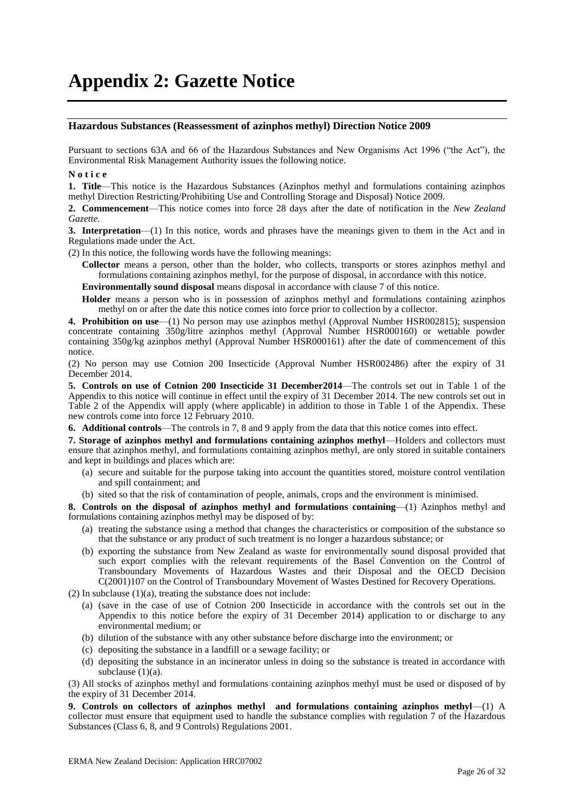# **Appendix 2: Gazette Notice**

#### **Hazardous Substances (Reassessment of azinphos methyl) Direction Notice 2009**

Pursuant to sections 63A and 66 of the Hazardous Substances and New Organisms Act 1996 ("the Act"), the Environmental Risk Management Authority issues the following notice.

#### **N o t i c e**

**1. Title**—This notice is the Hazardous Substances (Azinphos methyl and formulations containing azinphos methyl Direction Restricting/Prohibiting Use and Controlling Storage and Disposal) Notice 2009.

**2. Commencement**—This notice comes into force 28 days after the date of notification in the *New Zealand Gazette*.

**3. Interpretation**—(1) In this notice, words and phrases have the meanings given to them in the Act and in Regulations made under the Act.

(2) In this notice, the following words have the following meanings:

**Collector** means a person, other than the holder, who collects, transports or stores azinphos methyl and formulations containing azinphos methyl, for the purpose of disposal, in accordance with this notice.

**Environmentally sound disposal** means disposal in accordance with clause 7 of this notice.

**Holder** means a person who is in possession of azinphos methyl and formulations containing azinphos methyl on or after the date this notice comes into force prior to collection by a collector.

**4. Prohibition on use**—(1) No person may use azinphos methyl (Approval Number HSR002815); suspension concentrate containing 350g/litre azinphos methyl (Approval Number HSR000160) or wettable powder containing 350g/kg azinphos methyl (Approval Number HSR000161) after the date of commencement of this notice.

(2) No person may use Cotnion 200 Insecticide (Approval Number HSR002486) after the expiry of 31 December 2014.

**5. Controls on use of Cotnion 200 Insecticide 31 December2014**—The controls set out in Table 1 of the Appendix to this notice will continue in effect until the expiry of 31 December 2014. The new controls set out in Table 2 of the Appendix will apply (where applicable) in addition to those in Table 1 of the Appendix. These new controls come into force 12 February 2010.

**6. Additional controls**—The controls in 7, 8 and 9 apply from the data that this notice comes into effect.

**7. Storage of azinphos methyl and formulations containing azinphos methyl**—Holders and collectors must ensure that azinphos methyl, and formulations containing azinphos methyl, are only stored in suitable containers and kept in buildings and places which are:

- (a) secure and suitable for the purpose taking into account the quantities stored, moisture control ventilation and spill containment; and
- (b) sited so that the risk of contamination of people, animals, crops and the environment is minimised.

**8. Controls on the disposal of azinphos methyl and formulations containing**—(1) Azinphos methyl and formulations containing azinphos methyl may be disposed of by:

- (a) treating the substance using a method that changes the characteristics or composition of the substance so that the substance or any product of such treatment is no longer a hazardous substance; or
- (b) exporting the substance from New Zealand as waste for environmentally sound disposal provided that such export complies with the relevant requirements of the Basel Convention on the Control of Transboundary Movements of Hazardous Wastes and their Disposal and the OECD Decision C(2001)107 on the Control of Transboundary Movement of Wastes Destined for Recovery Operations.

 $(2)$  In subclause  $(1)(a)$ , treating the substance does not include:

- (a) (save in the case of use of Cotnion 200 Insecticide in accordance with the controls set out in the Appendix to this notice before the expiry of 31 December 2014) application to or discharge to any environmental medium; or
- (b) dilution of the substance with any other substance before discharge into the environment; or
- (c) depositing the substance in a landfill or a sewage facility; or
- (d) depositing the substance in an incinerator unless in doing so the substance is treated in accordance with subclause  $(1)(a)$ .

(3) All stocks of azinphos methyl and formulations containing azinphos methyl must be used or disposed of by the expiry of 31 December 2014.

**9. Controls on collectors of azinphos methyl and formulations containing azinphos methyl**—(1) A collector must ensure that equipment used to handle the substance complies with regulation 7 of the Hazardous Substances (Class 6, 8, and 9 Controls) Regulations 2001.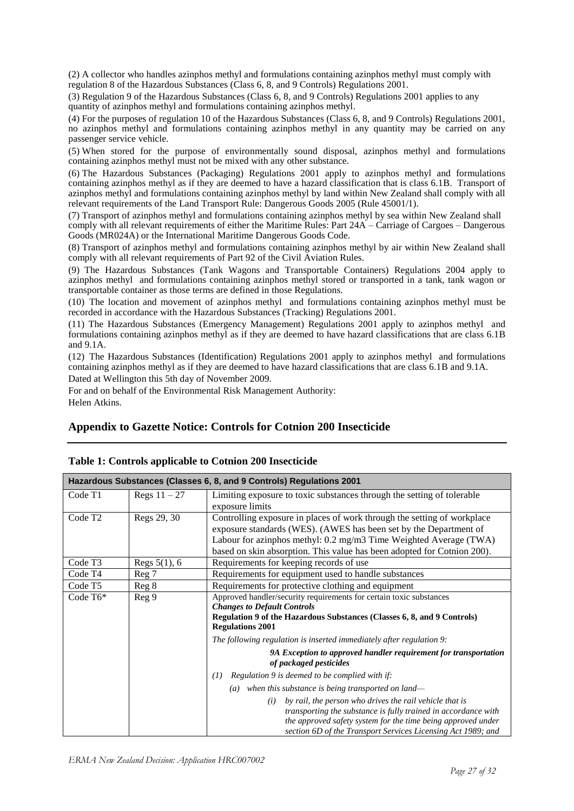(2) A collector who handles azinphos methyl and formulations containing azinphos methyl must comply with regulation 8 of the Hazardous Substances (Class 6, 8, and 9 Controls) Regulations 2001.

(3) Regulation 9 of the Hazardous Substances (Class 6, 8, and 9 Controls) Regulations 2001 applies to any quantity of azinphos methyl and formulations containing azinphos methyl.

(4) For the purposes of regulation 10 of the Hazardous Substances (Class 6, 8, and 9 Controls) Regulations 2001, no azinphos methyl and formulations containing azinphos methyl in any quantity may be carried on any passenger service vehicle.

(5) When stored for the purpose of environmentally sound disposal, azinphos methyl and formulations containing azinphos methyl must not be mixed with any other substance.

(6) The Hazardous Substances (Packaging) Regulations 2001 apply to azinphos methyl and formulations containing azinphos methyl as if they are deemed to have a hazard classification that is class 6.1B. Transport of azinphos methyl and formulations containing azinphos methyl by land within New Zealand shall comply with all relevant requirements of the Land Transport Rule: Dangerous Goods 2005 (Rule 45001/1).

(7) Transport of azinphos methyl and formulations containing azinphos methyl by sea within New Zealand shall comply with all relevant requirements of either the Maritime Rules: Part 24A – Carriage of Cargoes – Dangerous Goods (MR024A) or the International Maritime Dangerous Goods Code.

(8) Transport of azinphos methyl and formulations containing azinphos methyl by air within New Zealand shall comply with all relevant requirements of Part 92 of the Civil Aviation Rules.

(9) The Hazardous Substances (Tank Wagons and Transportable Containers) Regulations 2004 apply to azinphos methyl and formulations containing azinphos methyl stored or transported in a tank, tank wagon or transportable container as those terms are defined in those Regulations.

(10) The location and movement of azinphos methyl and formulations containing azinphos methyl must be recorded in accordance with the Hazardous Substances (Tracking) Regulations 2001.

(11) The Hazardous Substances (Emergency Management) Regulations 2001 apply to azinphos methyl and formulations containing azinphos methyl as if they are deemed to have hazard classifications that are class 6.1B and 9.1A.

(12) The Hazardous Substances (Identification) Regulations 2001 apply to azinphos methyl and formulations containing azinphos methyl as if they are deemed to have hazard classifications that are class 6.1B and 9.1A.

Dated at Wellington this 5th day of November 2009.

For and on behalf of the Environmental Risk Management Authority: Helen Atkins.

#### **Appendix to Gazette Notice: Controls for Cotnion 200 Insecticide**

|                     |                 | Hazardous Substances (Classes 6, 8, and 9 Controls) Regulations 2001                                                                                                                                                                                                                         |  |  |
|---------------------|-----------------|----------------------------------------------------------------------------------------------------------------------------------------------------------------------------------------------------------------------------------------------------------------------------------------------|--|--|
| Code T1             | Regs $11 - 27$  | Limiting exposure to toxic substances through the setting of tolerable<br>exposure limits                                                                                                                                                                                                    |  |  |
| Code T <sub>2</sub> | Regs 29, 30     | Controlling exposure in places of work through the setting of workplace<br>exposure standards (WES). (AWES has been set by the Department of<br>Labour for azinphos methyl: 0.2 mg/m3 Time Weighted Average (TWA)<br>based on skin absorption. This value has been adopted for Cotnion 200). |  |  |
| Code T <sub>3</sub> | Regs $5(1)$ , 6 | Requirements for keeping records of use                                                                                                                                                                                                                                                      |  |  |
| Code T <sub>4</sub> | Reg 7           | Requirements for equipment used to handle substances                                                                                                                                                                                                                                         |  |  |
| Code T <sub>5</sub> | Reg 8           | Requirements for protective clothing and equipment                                                                                                                                                                                                                                           |  |  |
| Code $T6*$          | Reg 9           | Approved handler/security requirements for certain toxic substances<br><b>Changes to Default Controls</b><br>Regulation 9 of the Hazardous Substances (Classes 6, 8, and 9 Controls)<br><b>Regulations 2001</b>                                                                              |  |  |
|                     |                 | The following regulation is inserted immediately after regulation 9:                                                                                                                                                                                                                         |  |  |
|                     |                 | 9A Exception to approved handler requirement for transportation<br>of packaged pesticides                                                                                                                                                                                                    |  |  |
|                     |                 | Regulation 9 is deemed to be complied with if:<br>(I)                                                                                                                                                                                                                                        |  |  |
|                     |                 | $(a)$ when this substance is being transported on land—                                                                                                                                                                                                                                      |  |  |
|                     |                 | by rail, the person who drives the rail vehicle that is<br>(i)<br>transporting the substance is fully trained in accordance with<br>the approved safety system for the time being approved under<br>section 6D of the Transport Services Licensing Act 1989; and                             |  |  |

#### **Table 1: Controls applicable to Cotnion 200 Insecticide**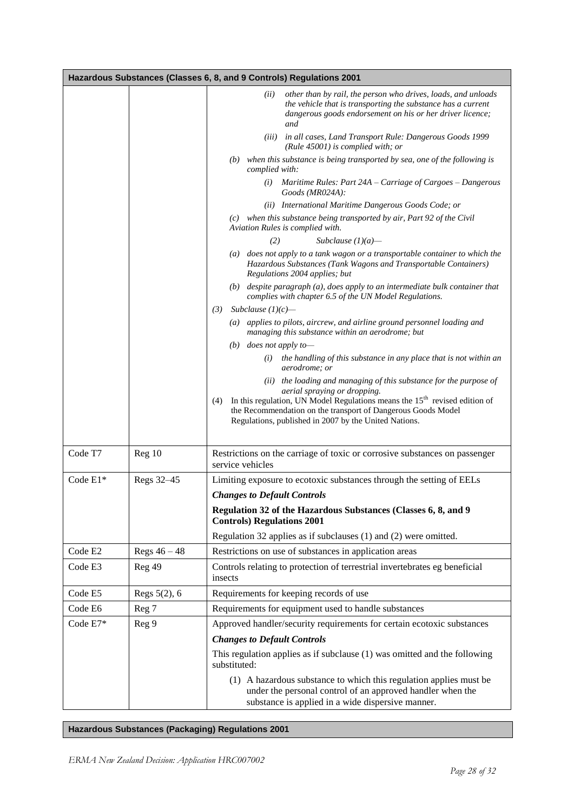|          |                | Hazardous Substances (Classes 6, 8, and 9 Controls) Regulations 2001                                                                                                                                                                         |
|----------|----------------|----------------------------------------------------------------------------------------------------------------------------------------------------------------------------------------------------------------------------------------------|
|          |                | other than by rail, the person who drives, loads, and unloads<br>(ii)<br>the vehicle that is transporting the substance has a current<br>dangerous goods endorsement on his or her driver licence;<br>and                                    |
|          |                | (iii) in all cases, Land Transport Rule: Dangerous Goods 1999<br>(Rule $45001$ ) is complied with; or                                                                                                                                        |
|          |                | $(b)$ when this substance is being transported by sea, one of the following is<br>complied with:                                                                                                                                             |
|          |                | Maritime Rules: Part 24A – Carriage of Cargoes – Dangerous<br>(i)<br>Goods (MR024A):                                                                                                                                                         |
|          |                | (ii) International Maritime Dangerous Goods Code; or                                                                                                                                                                                         |
|          |                | (c) when this substance being transported by air, Part 92 of the Civil<br>Aviation Rules is complied with.                                                                                                                                   |
|          |                | (2)<br>Subclause $(1)(a)$ —                                                                                                                                                                                                                  |
|          |                | (a) does not apply to a tank wagon or a transportable container to which the<br>Hazardous Substances (Tank Wagons and Transportable Containers)<br>Regulations 2004 applies; but                                                             |
|          |                | $(b)$ despite paragraph $(a)$ , does apply to an intermediate bulk container that<br>complies with chapter 6.5 of the UN Model Regulations.                                                                                                  |
|          |                | (3)<br>Subclause $(1)(c)$ —                                                                                                                                                                                                                  |
|          |                | (a) applies to pilots, aircrew, and airline ground personnel loading and<br>managing this substance within an aerodrome; but                                                                                                                 |
|          |                | (b) does not apply to-                                                                                                                                                                                                                       |
|          |                | $(i)$ the handling of this substance in any place that is not within an<br><i>aerodrome; or</i>                                                                                                                                              |
|          |                | (ii) the loading and managing of this substance for the purpose of                                                                                                                                                                           |
|          |                | aerial spraying or dropping.<br>In this regulation, UN Model Regulations means the $15th$ revised edition of<br>(4)<br>the Recommendation on the transport of Dangerous Goods Model<br>Regulations, published in 2007 by the United Nations. |
| Code T7  | Reg 10         | Restrictions on the carriage of toxic or corrosive substances on passenger<br>service vehicles                                                                                                                                               |
| Code E1* | Regs 32-45     | Limiting exposure to ecotoxic substances through the setting of EELs                                                                                                                                                                         |
|          |                | <b>Changes to Default Controls</b>                                                                                                                                                                                                           |
|          |                | Regulation 32 of the Hazardous Substances (Classes 6, 8, and 9<br><b>Controls) Regulations 2001</b>                                                                                                                                          |
|          |                | Regulation 32 applies as if subclauses (1) and (2) were omitted.                                                                                                                                                                             |
| Code E2  | Regs $46 - 48$ | Restrictions on use of substances in application areas                                                                                                                                                                                       |
| Code E3  | Reg 49         | Controls relating to protection of terrestrial invertebrates eg beneficial<br>insects                                                                                                                                                        |
| Code E5  | Regs 5(2), 6   | Requirements for keeping records of use                                                                                                                                                                                                      |
| Code E6  | Reg 7          | Requirements for equipment used to handle substances                                                                                                                                                                                         |
| Code E7* | Reg 9          | Approved handler/security requirements for certain ecotoxic substances                                                                                                                                                                       |
|          |                | <b>Changes to Default Controls</b>                                                                                                                                                                                                           |
|          |                | This regulation applies as if subclause (1) was omitted and the following<br>substituted:                                                                                                                                                    |
|          |                | (1) A hazardous substance to which this regulation applies must be<br>under the personal control of an approved handler when the<br>substance is applied in a wide dispersive manner.                                                        |

**Hazardous Substances (Packaging) Regulations 2001**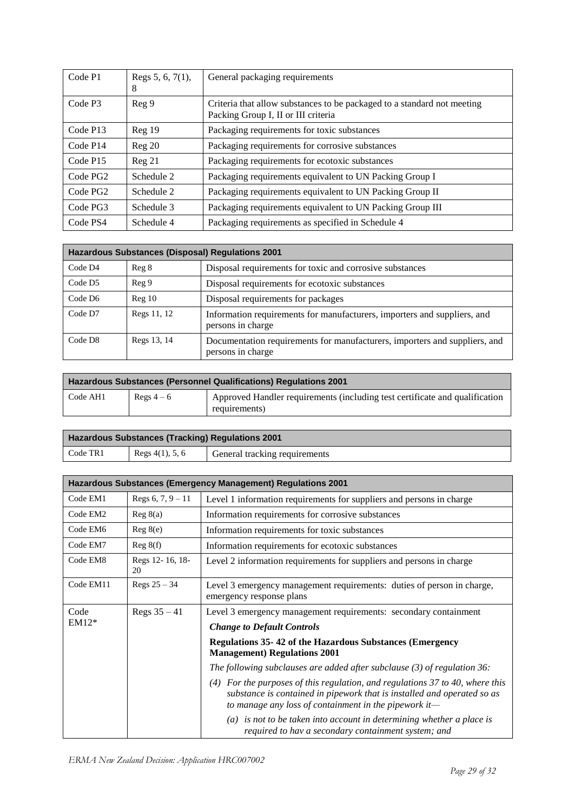| Code P1              | Regs $5, 6, 7(1)$ ,<br>8 | General packaging requirements                                                                                 |
|----------------------|--------------------------|----------------------------------------------------------------------------------------------------------------|
| Code P3              | Reg <sub>9</sub>         | Criteria that allow substances to be packaged to a standard not meeting<br>Packing Group I, II or III criteria |
| Code P13             | Reg <sub>19</sub>        | Packaging requirements for toxic substances                                                                    |
| Code P <sub>14</sub> | Reg <sub>20</sub>        | Packaging requirements for corrosive substances                                                                |
| Code P15             | Reg 21                   | Packaging requirements for ecotoxic substances                                                                 |
| Code PG <sub>2</sub> | Schedule 2               | Packaging requirements equivalent to UN Packing Group I                                                        |
| Code PG <sub>2</sub> | Schedule 2               | Packaging requirements equivalent to UN Packing Group II                                                       |
| Code PG3             | Schedule 3               | Packaging requirements equivalent to UN Packing Group III                                                      |
| Code PS4             | Schedule 4               | Packaging requirements as specified in Schedule 4                                                              |

| <b>Hazardous Substances (Disposal) Regulations 2001</b> |                   |                                                                                                 |  |
|---------------------------------------------------------|-------------------|-------------------------------------------------------------------------------------------------|--|
| Code D4                                                 | Reg 8             | Disposal requirements for toxic and corrosive substances                                        |  |
| Code D <sub>5</sub>                                     | Reg <sub>9</sub>  | Disposal requirements for ecotoxic substances                                                   |  |
| Code D6                                                 | Reg <sub>10</sub> | Disposal requirements for packages                                                              |  |
| Code D7                                                 | Regs 11, 12       | Information requirements for manufacturers, importers and suppliers, and<br>persons in charge   |  |
| Code D8                                                 | Regs 13, 14       | Documentation requirements for manufacturers, importers and suppliers, and<br>persons in charge |  |

| <b>Hazardous Substances (Personnel Qualifications) Regulations 2001</b> |            |                                                                                              |  |
|-------------------------------------------------------------------------|------------|----------------------------------------------------------------------------------------------|--|
| Code AH1                                                                | Regs $4-6$ | Approved Handler requirements (including test certificate and qualification<br>requirements) |  |

| <b>Hazardous Substances (Tracking) Regulations 2001</b> |                    |                               |  |
|---------------------------------------------------------|--------------------|-------------------------------|--|
| Code TR1                                                | Regs $4(1)$ , 5, 6 | General tracking requirements |  |

| Hazardous Substances (Emergency Management) Regulations 2001 |                       |                                                                                                                                                                                                                     |  |
|--------------------------------------------------------------|-----------------------|---------------------------------------------------------------------------------------------------------------------------------------------------------------------------------------------------------------------|--|
| Code EM1                                                     | Regs $6, 7, 9 - 11$   | Level 1 information requirements for suppliers and persons in charge                                                                                                                                                |  |
| Code EM2                                                     | Reg 8(a)              | Information requirements for corrosive substances                                                                                                                                                                   |  |
| Code EM6                                                     | Reg 8(e)              | Information requirements for toxic substances                                                                                                                                                                       |  |
| Code EM7                                                     | Reg 8(f)              | Information requirements for ecotoxic substances                                                                                                                                                                    |  |
| Code EM8                                                     | Regs 12-16, 18-<br>20 | Level 2 information requirements for suppliers and persons in charge                                                                                                                                                |  |
| Code EM11                                                    | Regs $25 - 34$        | Level 3 emergency management requirements: duties of person in charge,<br>emergency response plans                                                                                                                  |  |
| Code<br>$EM12*$                                              | Regs $35 - 41$        | Level 3 emergency management requirements: secondary containment                                                                                                                                                    |  |
|                                                              |                       | <b>Change to Default Controls</b>                                                                                                                                                                                   |  |
|                                                              |                       | Regulations 35-42 of the Hazardous Substances (Emergency<br><b>Management</b> ) Regulations 2001                                                                                                                    |  |
|                                                              |                       | The following subclauses are added after subclause $(3)$ of regulation 36:                                                                                                                                          |  |
|                                                              |                       | $(4)$ For the purposes of this regulation, and regulations 37 to 40, where this<br>substance is contained in pipework that is installed and operated so as<br>to manage any loss of containment in the pipework it- |  |
|                                                              |                       | $(a)$ is not to be taken into account in determining whether a place is<br>required to hav a secondary containment system; and                                                                                      |  |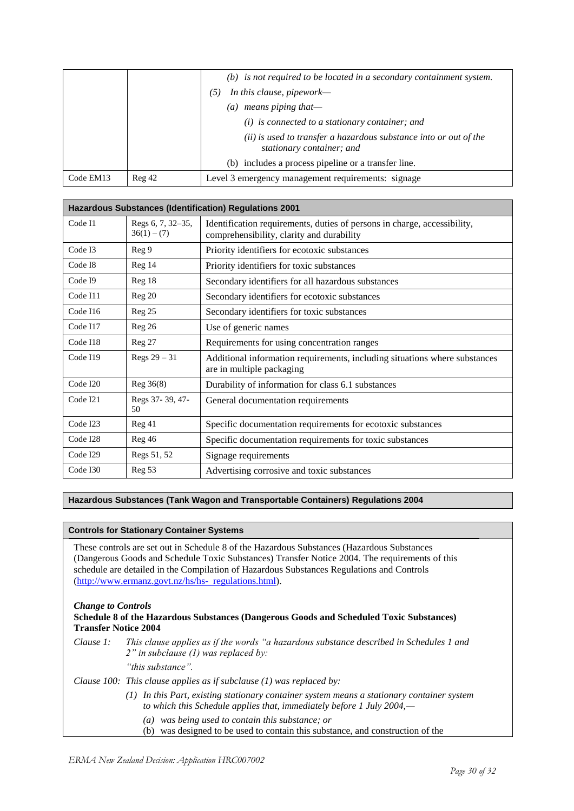|           |                   | $(b)$ is not required to be located in a secondary containment system.                         |
|-----------|-------------------|------------------------------------------------------------------------------------------------|
|           |                   | In this clause, pipework—<br>$\mathfrak{S}.$                                                   |
|           |                   | (a) means piping that-                                                                         |
|           |                   | $(i)$ is connected to a stationary container; and                                              |
|           |                   | (ii) is used to transfer a hazardous substance into or out of the<br>stationary container; and |
|           |                   | (b) includes a process pipeline or a transfer line.                                            |
| Code EM13 | Reg <sub>42</sub> | Level 3 emergency management requirements: signage                                             |

| <b>Hazardous Substances (Identification) Regulations 2001</b> |                                    |                                                                                                                       |
|---------------------------------------------------------------|------------------------------------|-----------------------------------------------------------------------------------------------------------------------|
| Code I1                                                       | Regs 6, 7, 32-35,<br>$36(1) - (7)$ | Identification requirements, duties of persons in charge, accessibility,<br>comprehensibility, clarity and durability |
| Code I3                                                       | Reg 9                              | Priority identifiers for ecotoxic substances                                                                          |
| Code I8                                                       | Reg <sub>14</sub>                  | Priority identifiers for toxic substances                                                                             |
| Code I9                                                       | Reg <sub>18</sub>                  | Secondary identifiers for all hazardous substances                                                                    |
| Code I11                                                      | Reg 20                             | Secondary identifiers for ecotoxic substances                                                                         |
| Code I16                                                      | Reg 25                             | Secondary identifiers for toxic substances                                                                            |
| Code I17                                                      | Reg <sub>26</sub>                  | Use of generic names                                                                                                  |
| Code I18                                                      | Reg 27                             | Requirements for using concentration ranges                                                                           |
| Code I19                                                      | Regs $29 - 31$                     | Additional information requirements, including situations where substances<br>are in multiple packaging               |
| Code I20                                                      | Reg 36(8)                          | Durability of information for class 6.1 substances                                                                    |
| Code I21                                                      | Regs 37-39, 47-<br>50              | General documentation requirements                                                                                    |
| Code I23                                                      | Reg 41                             | Specific documentation requirements for ecotoxic substances                                                           |
| Code I28                                                      | Reg 46                             | Specific documentation requirements for toxic substances                                                              |
| Code I29                                                      | Regs 51, 52                        | Signage requirements                                                                                                  |
| Code I30                                                      | Reg 53                             | Advertising corrosive and toxic substances                                                                            |

#### **Hazardous Substances (Tank Wagon and Transportable Containers) Regulations 2004**

#### **Controls for Stationary Container Systems**

These controls are set out in Schedule 8 of the Hazardous Substances (Hazardous Substances (Dangerous Goods and Schedule Toxic Substances) Transfer Notice 2004. The requirements of this schedule are detailed in the Compilation of Hazardous Substances Regulations and Controls [\(http://www.ermanz.govt.nz/hs/hs- regulations.html\)](http://www.ermanz.govt.nz/hs/hs-regulations.html).

### *Change to Controls*

#### **Schedule 8 of the Hazardous Substances (Dangerous Goods and Scheduled Toxic Substances) Transfer Notice 2004**

- *Clause 1:* This clause applies as if the words "a hazardous substance described in Schedules 1 and *2‖ in subclause (1) was replaced by:*
	- *―this substance‖.*

#### *Clause 100: This clause applies as if subclause (1) was replaced by:*

- *(1) In this Part, existing stationary container system means a stationary container system to which this Schedule applies that, immediately before 1 July 2004,—*
	- *(a) was being used to contain this substance; or*
	- (b) was designed to be used to contain this substance, and construction of the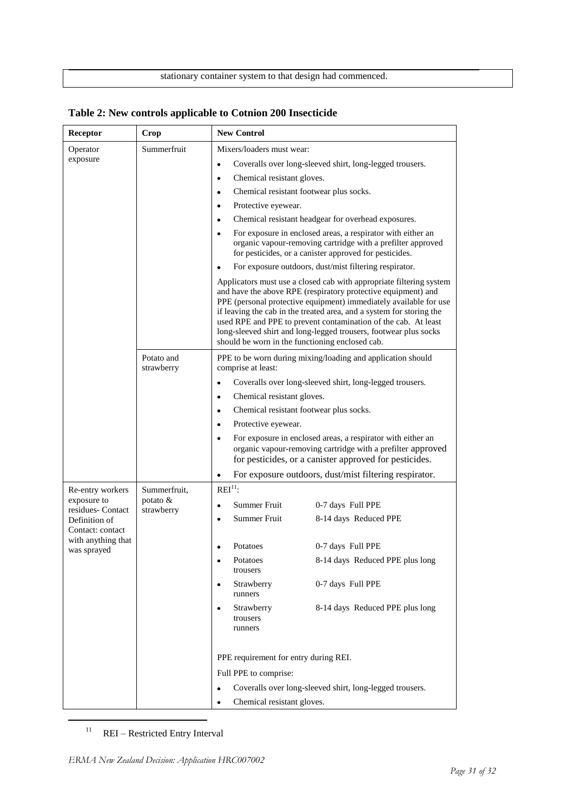#### stationary container system to that design had commenced.

| Receptor                                                               | Crop                                   | <b>New Control</b>                                                                |                                                                                                                                                                                                                                                                                                                                                                                                                         |
|------------------------------------------------------------------------|----------------------------------------|-----------------------------------------------------------------------------------|-------------------------------------------------------------------------------------------------------------------------------------------------------------------------------------------------------------------------------------------------------------------------------------------------------------------------------------------------------------------------------------------------------------------------|
| Operator                                                               | Summerfruit                            | Mixers/loaders must wear:                                                         |                                                                                                                                                                                                                                                                                                                                                                                                                         |
| exposure                                                               |                                        | $\bullet$                                                                         | Coveralls over long-sleeved shirt, long-legged trousers.                                                                                                                                                                                                                                                                                                                                                                |
|                                                                        |                                        | Chemical resistant gloves.<br>٠                                                   |                                                                                                                                                                                                                                                                                                                                                                                                                         |
|                                                                        |                                        | Chemical resistant footwear plus socks.<br>$\bullet$                              |                                                                                                                                                                                                                                                                                                                                                                                                                         |
|                                                                        |                                        | Protective eyewear.<br>$\bullet$                                                  |                                                                                                                                                                                                                                                                                                                                                                                                                         |
|                                                                        |                                        | $\bullet$                                                                         | Chemical resistant headgear for overhead exposures.                                                                                                                                                                                                                                                                                                                                                                     |
|                                                                        |                                        |                                                                                   | For exposure in enclosed areas, a respirator with either an<br>organic vapour-removing cartridge with a prefilter approved<br>for pesticides, or a canister approved for pesticides.                                                                                                                                                                                                                                    |
|                                                                        |                                        |                                                                                   | For exposure outdoors, dust/mist filtering respirator.                                                                                                                                                                                                                                                                                                                                                                  |
|                                                                        |                                        | should be worn in the functioning enclosed cab.                                   | Applicators must use a closed cab with appropriate filtering system<br>and have the above RPE (respiratory protective equipment) and<br>PPE (personal protective equipment) immediately available for use<br>if leaving the cab in the treated area, and a system for storing the<br>used RPE and PPE to prevent contamination of the cab. At least<br>long-sleeved shirt and long-legged trousers, footwear plus socks |
|                                                                        | Potato and<br>strawberry               | PPE to be worn during mixing/loading and application should<br>comprise at least: |                                                                                                                                                                                                                                                                                                                                                                                                                         |
|                                                                        |                                        | Coveralls over long-sleeved shirt, long-legged trousers.<br>$\bullet$             |                                                                                                                                                                                                                                                                                                                                                                                                                         |
|                                                                        |                                        | Chemical resistant gloves.<br>$\bullet$                                           |                                                                                                                                                                                                                                                                                                                                                                                                                         |
|                                                                        |                                        | Chemical resistant footwear plus socks.<br>$\bullet$                              |                                                                                                                                                                                                                                                                                                                                                                                                                         |
|                                                                        |                                        | Protective eyewear.<br>$\bullet$                                                  |                                                                                                                                                                                                                                                                                                                                                                                                                         |
|                                                                        |                                        | $\bullet$                                                                         | For exposure in enclosed areas, a respirator with either an<br>organic vapour-removing cartridge with a prefilter approved<br>for pesticides, or a canister approved for pesticides.                                                                                                                                                                                                                                    |
|                                                                        |                                        | $\bullet$                                                                         | For exposure outdoors, dust/mist filtering respirator.                                                                                                                                                                                                                                                                                                                                                                  |
| Re-entry workers                                                       | Summerfruit,<br>potato &<br>strawberry | $REI11$ :                                                                         |                                                                                                                                                                                                                                                                                                                                                                                                                         |
| exposure to<br>residues- Contact                                       |                                        | Summer Fruit<br>$\bullet$                                                         | 0-7 days Full PPE                                                                                                                                                                                                                                                                                                                                                                                                       |
| Definition of<br>Contact: contact<br>with anything that<br>was sprayed |                                        | Summer Fruit<br>$\bullet$                                                         | 8-14 days Reduced PPE                                                                                                                                                                                                                                                                                                                                                                                                   |
|                                                                        |                                        |                                                                                   |                                                                                                                                                                                                                                                                                                                                                                                                                         |
|                                                                        |                                        | Potatoes<br>Ġ                                                                     | 0-7 days Full PPE                                                                                                                                                                                                                                                                                                                                                                                                       |
|                                                                        |                                        | Potatoes<br>٠<br>trousers                                                         | 8-14 days Reduced PPE plus long                                                                                                                                                                                                                                                                                                                                                                                         |
|                                                                        |                                        | Strawberry<br>runners                                                             | 0-7 days Full PPE                                                                                                                                                                                                                                                                                                                                                                                                       |
|                                                                        |                                        | Strawberry<br>trousers<br>runners                                                 | 8-14 days Reduced PPE plus long                                                                                                                                                                                                                                                                                                                                                                                         |
|                                                                        |                                        | PPE requirement for entry during REI.                                             |                                                                                                                                                                                                                                                                                                                                                                                                                         |
|                                                                        |                                        | Full PPE to comprise:                                                             |                                                                                                                                                                                                                                                                                                                                                                                                                         |
|                                                                        |                                        |                                                                                   | Coveralls over long-sleeved shirt, long-legged trousers.                                                                                                                                                                                                                                                                                                                                                                |
|                                                                        |                                        | Chemical resistant gloves.                                                        |                                                                                                                                                                                                                                                                                                                                                                                                                         |

**Table 2: New controls applicable to Cotnion 200 Insecticide**

<sup>11</sup> REI – Restricted Entry Interval